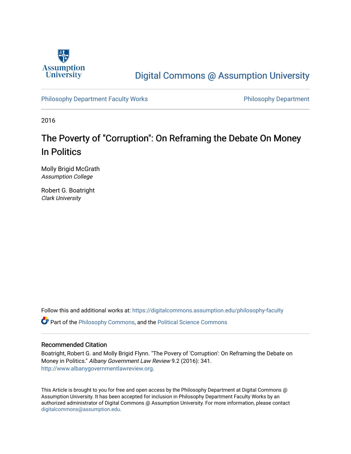

## [Digital Commons @ Assumption University](https://digitalcommons.assumption.edu/)

[Philosophy Department Faculty Works](https://digitalcommons.assumption.edu/philosophy-faculty) **Philosophy Department** 

2016

# The Poverty of "Corruption": On Reframing the Debate On Money In Politics

Molly Brigid McGrath Assumption College

Robert G. Boatright Clark University

Follow this and additional works at: [https://digitalcommons.assumption.edu/philosophy-faculty](https://digitalcommons.assumption.edu/philosophy-faculty?utm_source=digitalcommons.assumption.edu%2Fphilosophy-faculty%2F11&utm_medium=PDF&utm_campaign=PDFCoverPages) 

Part of the [Philosophy Commons,](http://network.bepress.com/hgg/discipline/525?utm_source=digitalcommons.assumption.edu%2Fphilosophy-faculty%2F11&utm_medium=PDF&utm_campaign=PDFCoverPages) and the [Political Science Commons](http://network.bepress.com/hgg/discipline/386?utm_source=digitalcommons.assumption.edu%2Fphilosophy-faculty%2F11&utm_medium=PDF&utm_campaign=PDFCoverPages) 

### Recommended Citation

Boatright, Robert G. and Molly Brigid Flynn. "The Povery of 'Corruption': On Reframing the Debate on Money in Politics." Albany Government Law Review 9.2 (2016): 341. [http://www.albanygovernmentlawreview.org.](http://www.albanygovernmentlawreview.org/archives/pages/article-information.aspx?volume=9&issue=2&page=341)

This Article is brought to you for free and open access by the Philosophy Department at Digital Commons @ Assumption University. It has been accepted for inclusion in Philosophy Department Faculty Works by an authorized administrator of Digital Commons @ Assumption University. For more information, please contact [digitalcommons@assumption.edu](mailto:digitalcommons@assumption.edu).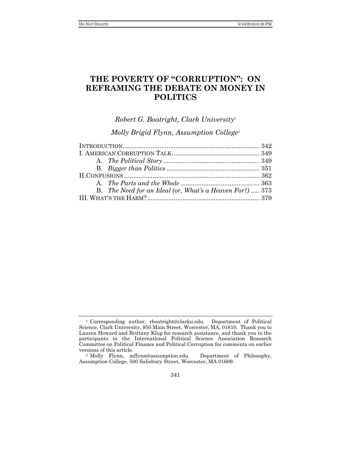## **THE POVERTY OF "CORRUPTION": ON REFRAMING THE DEBATE ON MONEY IN POLITICS**

*Robert G. Boatright, Clark University<sup>1</sup>*

*Molly Brigid Flynn, Assumption College<sup>2</sup>*

| B. The Need for an Ideal (or, What's a Heaven For?)  373 |  |
|----------------------------------------------------------|--|
|                                                          |  |

<sup>1</sup> Corresponding author, rboatright@clarku.edu. Department of Political Science, Clark University, 950 Main Street, Worcester, MA, 01610. Thank you to Lauren Howard and Brittany Klug for research assistance, and thank you to the participants in the International Political Science Association Research Committee on Political Finance and Political Corruption for comments on earlier versions of this article.

<sup>2</sup> Molly Flynn, mflynn@assumption.edu. Department of Philosophy, Assumption College, 500 Salisbury Street, Worcester, MA 01609.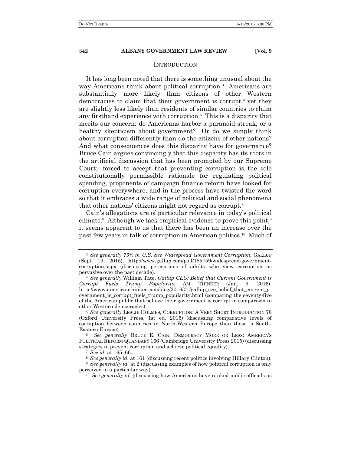#### INTRODUCTION

It has long been noted that there is something unusual about the way Americans think about political corruption.<sup>3</sup> Americans are substantially more likely than citizens of other Western democracies to claim that their government is corrupt,<sup>4</sup> yet they are slightly less likely than residents of similar countries to claim any firsthand experience with corruption.<sup>5</sup> This is a disparity that merits our concern: do Americans harbor a paranoid streak, or a healthy skepticism about government? Or do we simply think about corruption differently than do the citizens of other nations? And what consequences does this disparity have for governance? Bruce Cain argues convincingly that this disparity has its roots in the artificial discussion that has been prompted by our Supreme Court;<sup>6</sup> forced to accept that preventing corruption is the sole constitutionally permissible rationale for regulating political spending, proponents of campaign finance reform have looked for corruption everywhere, and in the process have twisted the word so that it embraces a wide range of political and social phenomena that other nations' citizens might not regard as corrupt.<sup>7</sup>

Cain's allegations are of particular relevance in today's political climate.<sup>8</sup> Although we lack empirical evidence to prove this point,<sup>9</sup> it seems apparent to us that there has been an increase over the past few years in talk of corruption in American politics.10 Much of

<sup>3</sup> *See generally 75% in U.S. See Widespread Government Corruption*, GALLUP (Sept. 19, 2015), http://www.gallup.com/poll/185759/widespread-governmentcorruption.aspx (discussing perceptions of adults who view corruption as pervasive over the past decade).

<sup>4</sup> *See generally* William Tate, *Gallup CEO: Belief that Current Government is Corrupt Fuels Trump Popularity,* AM. THINKER (Jan. 9, 2016), http://www.americanthinker.com/blog/2016/01/gallup\_ceo\_belief\_that\_current\_g overnment\_is\_corrupt\_fuels\_trump\_popularity.html (comparing the seventy-five of the American public that believe their government is corrupt in comparison to other Western democracies).

<sup>5</sup> *See generally* LESLIE HOLMES, CORRUPTION: A VERY SHORT INTRODUCTION 78 (Oxford University Press, 1st ed. 2015) (discussing comparative levels of corruption between countries in North-Western Europe than those is South-Eastern Europe).

<sup>6</sup> *See generally* BRUCE E. CAIN, DEMOCRACY MORE OR LESS: AMERICA'S POLITICAL REFORM QUANDARY 166 (Cambridge University Press 2015) (discussing strategies to prevent corruption and achieve political equality).

<sup>7</sup> *See id.* at 165–66.

<sup>8</sup> *See generally id.* at 161 (discussing recent politics involving Hillary Clinton).

<sup>9</sup> *See generally id.* at 2 (discussing examples of how political corruption is only perceived in a particular way).

<sup>10</sup> *See generally id.* (discussing how Americans have ranked public officials as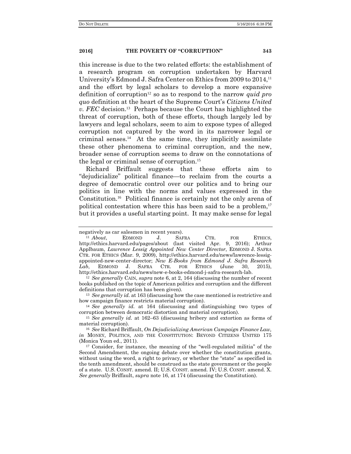this increase is due to the two related efforts: the establishment of a research program on corruption undertaken by Harvard University's Edmond J. Safra Center on Ethics from 2009 to 2014,<sup>11</sup> and the effort by legal scholars to develop a more expansive definition of corruption<sup>12</sup> so as to respond to the narrow *quid pro quo* definition at the heart of the Supreme Court's *Citizens United v. FEC* decision.13 Perhaps because the Court has highlighted the threat of corruption, both of these efforts, though largely led by lawyers and legal scholars, seem to aim to expose types of alleged corruption not captured by the word in its narrower legal or criminal senses. $^{14}$  At the same time, they implicitly assimilate these other phenomena to criminal corruption, and the new, broader sense of corruption seems to draw on the connotations of the legal or criminal sense of corruption.<sup>15</sup>

Richard Briffault suggests that these efforts aim to "dejudicialize" political finance—to reclaim from the courts a degree of democratic control over our politics and to bring our politics in line with the norms and values expressed in the Constitution.16 Political finance is certainly not the only arena of political contestation where this has been said to be a problem, $17$ but it provides a useful starting point. It may make sense for legal

<sup>13</sup> *See generally id.* at 163 (discussing how the case mentioned is restrictive and how campaign finance restricts material corruption).

<sup>14</sup> *See generally id.* at 164 (discussing and distinguishing two types of corruption between democratic distortion and material corruption).

negatively as car salesmen in recent years).

<sup>11</sup> *About*, EDMOND J. SAFRA CTR. FOR ETHICS, http://ethics.harvard.edu/pages/about (last visited Apr. 9, 2016); Arthur Applbaum, *Lawrence Lessig Appointed New Center Director*, EDMOND J. SAFRA CTR. FOR ETHICS (Mar. 9, 2009), http://ethics.harvard.edu/news/lawrence-lessigappointed-new-center-director; *New E-Books from Edmond J. Safra Research Lab*, EDMOND J. SAFRA CTR. FOR ETHICS (June 30, 2015), http://ethics.harvard.edu/news/new-e-books-edmond-j-safra-research-lab.

<sup>12</sup> *See generally* CAIN, *supra* note 6, at 2, 164 (discussing the number of recent books published on the topic of American politics and corruption and the different definitions that corruption has been given).

<sup>15</sup> *See generally id.* at 162–63 (discussing bribery and extortion as forms of material corruption).

<sup>16</sup> *See* Richard Briffault, *On Dejudicializing American Campaign Finance Law, in* MONEY, POLITICS, AND THE CONSTITUTION: BEYOND CITIZENS UNITED 175 (Monica Youn ed., 2011).

<sup>17</sup> Consider, for instance, the meaning of the "well-regulated militia" of the Second Amendment, the ongoing debate over whether the constitution grants, without using the word, a right to privacy, or whether the "state" as specified in the tenth amendment, should be construed as the state government or the people of a state. U.S. CONST. amend. II; U.S. CONST. amend. IV; U.S. CONST. amend. X. *See generally* Briffault, *supra* note 16, at 174 (discussing the Constitution).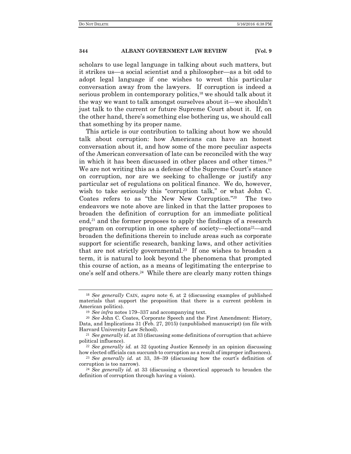scholars to use legal language in talking about such matters, but it strikes us—a social scientist and a philosopher—as a bit odd to adopt legal language if one wishes to wrest this particular conversation away from the lawyers. If corruption is indeed a serious problem in contemporary politics,<sup>18</sup> we should talk about it the way we want to talk amongst ourselves about it—we shouldn't just talk to the current or future Supreme Court about it. If, on the other hand, there's something else bothering us, we should call that something by its proper name.

This article is our contribution to talking about how we should talk about corruption: how Americans can have an honest conversation about it, and how some of the more peculiar aspects of the American conversation of late can be reconciled with the way in which it has been discussed in other places and other times.<sup>19</sup> We are not writing this as a defense of the Supreme Court's stance on corruption, nor are we seeking to challenge or justify any particular set of regulations on political finance. We do, however, wish to take seriously this "corruption talk," or what John C. Coates refers to as "the New New Corruption."20 The two endeavors we note above are linked in that the latter proposes to broaden the definition of corruption for an immediate political end,<sup>21</sup> and the former proposes to apply the findings of a research program on corruption in one sphere of society—elections<sup>22</sup>—and broaden the definitions therein to include areas such as corporate support for scientific research, banking laws, and other activities that are not strictly governmental.<sup>23</sup> If one wishes to broaden a term, it is natural to look beyond the phenomena that prompted this course of action, as a means of legitimating the enterprise to one's self and others.24 While there are clearly many rotten things

<sup>18</sup> *See generally* CAIN, *supra* note 6, at 2 (discussing examples of published materials that support the proposition that there is a current problem in American politics).

<sup>19</sup> *See infra* notes 179–337 and accompanying text.

<sup>20</sup> *See* John C. Coates, Corporate Speech and the First Amendment: History, Data, and Implications 31 (Feb. 27, 2015) (unpublished manuscript) (on file with Harvard University Law School).

<sup>21</sup> *See generally id*. at 33 (discussing some definitions of corruption that achieve political influence).

<sup>22</sup> *See generally id.* at 32 (quoting Justice Kennedy in an opinion discussing how elected officials can succumb to corruption as a result of improper influences).

<sup>23</sup> *See generally id.* at 33, 38–39 (discussing how the court's definition of corruption is too narrow).

<sup>24</sup> *See generally id.* at 33 (discussing a theoretical approach to broaden the definition of corruption through having a vision).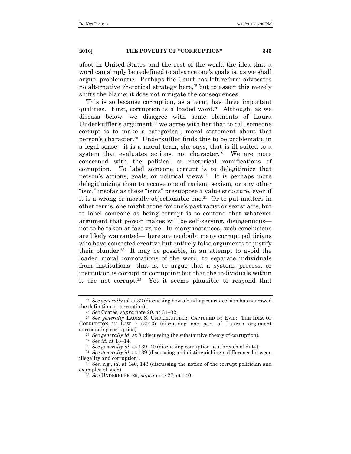afoot in United States and the rest of the world the idea that a word can simply be redefined to advance one's goals is, as we shall argue, problematic. Perhaps the Court has left reform advocates no alternative rhetorical strategy here, $25$  but to assert this merely shifts the blame; it does not mitigate the consequences.

This is so because corruption, as a term, has three important qualities. First, corruption is a loaded word.26 Although, as we discuss below, we disagree with some elements of Laura Underkuffler's argument, $27$  we agree with her that to call someone corrupt is to make a categorical, moral statement about that person's character.28 Underkuffler finds this to be problematic in a legal sense—it is a moral term, she says, that is ill suited to a system that evaluates actions, not character.<sup>29</sup> We are more concerned with the political or rhetorical ramifications of corruption. To label someone corrupt is to delegitimize that person's actions, goals, or political views.30 It is perhaps more delegitimizing than to accuse one of racism, sexism, or any other "ism," insofar as these "isms" presuppose a value structure, even if it is a wrong or morally objectionable one.31 Or to put matters in other terms, one might atone for one's past racist or sexist acts, but to label someone as being corrupt is to contend that whatever argument that person makes will be self-serving, disingenuous not to be taken at face value. In many instances, such conclusions are likely warranted—there are no doubt many corrupt politicians who have concocted creative but entirely false arguments to justify their plunder. $32$  It may be possible, in an attempt to avoid the loaded moral connotations of the word, to separate individuals from institutions—that is, to argue that a system, process, or institution is corrupt or corrupting but that the individuals within it are not corrupt.<sup>33</sup> Yet it seems plausible to respond that

<sup>25</sup> *See generally id.* at 32 (discussing how a binding court decision has narrowed the definition of corruption).

<sup>26</sup> *See* Coates*, supra* note 20, at 31–32.

<sup>27</sup> *See generally* LAURA S. UNDERKUFFLER, CAPTURED BY EVIL: THE IDEA OF CORRUPTION IN LAW 7 (2013) (discussing one part of Laura's argument surrounding corruption).

<sup>28</sup> *See generally id.* at 8 (discussing the substantive theory of corruption).

<sup>29</sup> *See id.* at 13–14.

<sup>30</sup> *See generally id.* at 139–40 (discussing corruption as a breach of duty).

<sup>31</sup> *See generally id.* at 139 (discussing and distinguishing a difference between illegality and corruption).

<sup>32</sup> *See, e.g.*, *id.* at 140, 143 (discussing the notion of the corrupt politician and examples of such).

<sup>33</sup> *See* UNDERKUFFLER, *supra* note 27, at 140.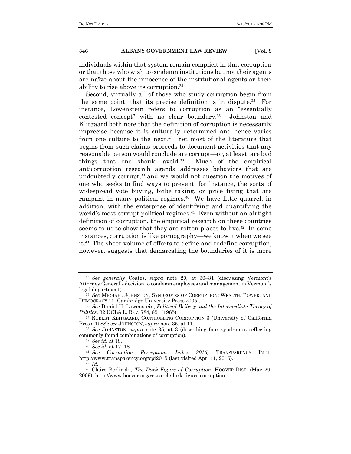individuals within that system remain complicit in that corruption or that those who wish to condemn institutions but not their agents are naïve about the innocence of the institutional agents or their ability to rise above its corruption.<sup>34</sup>

Second, virtually all of those who study corruption begin from the same point: that its precise definition is in dispute.<sup>35</sup> For instance, Lowenstein refers to corruption as an "essentially contested concept" with no clear boundary.36 Johnston and Klitgaard both note that the definition of corruption is necessarily imprecise because it is culturally determined and hence varies from one culture to the next.<sup>37</sup> Yet most of the literature that begins from such claims proceeds to document activities that any reasonable person would conclude are corrupt—or, at least, are bad things that one should avoid.38 Much of the empirical anticorruption research agenda addresses behaviors that are undoubtedly corrupt,<sup>39</sup> and we would not question the motives of one who seeks to find ways to prevent, for instance, the sorts of widespread vote buying, bribe taking, or price fixing that are rampant in many political regimes.<sup>40</sup> We have little quarrel, in addition, with the enterprise of identifying and quantifying the world's most corrupt political regimes.<sup>41</sup> Even without an airtight definition of corruption, the empirical research on these countries seems to us to show that they are rotten places to live.<sup>42</sup> In some instances, corruption is like pornography—we know it when we see it.43 The sheer volume of efforts to define and redefine corruption, however, suggests that demarcating the boundaries of it is more

<sup>34</sup> *See generally* Coates, *supra* note 20, at 30–31 (discussing Vermont's Attorney General's decision to condemn employees and management in Vermont's legal department).

<sup>35</sup> *See* MICHAEL JOHNSTON, SYNDROMES OF CORRUPTION: WEALTH, POWER, AND DEMOCRACY 11 (Cambridge University Press 2005).

<sup>36</sup> *See* Daniel H. Lowenstein, *Political Bribery and the Intermediate Theory of Politics*, 32 UCLA L. REV. 784, 851 (1985).

<sup>37</sup> ROBERT KLITGAARD, CONTROLLING CORRUPTION 3 (University of California Press, 1988); *see* JOHNSTON, *supra* note 35, at 11.

<sup>38</sup> *See* JOHNSTON, *supra* note 35, at 3 (describing four syndromes reflecting commonly found combinations of corruption).

<sup>39</sup> *See id.* at 18.

<sup>40</sup> *See id.* at 17–18.

<sup>41</sup> *See Corruption Perceptions Index 2015,* TRANSPARENCY INT'L, http://www.transparency.org/cpi2015 (last visited Apr. 11, 2016). <sup>42</sup> *Id.*

<sup>43</sup> Claire Berlinski, *The Dark Figure of Corruption*, HOOVER INST. (May 29, 2009), http://www.hoover.org/research/dark-figure-corruption.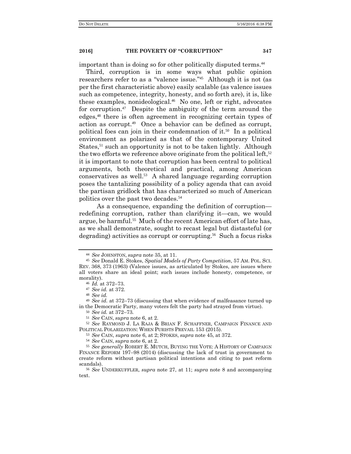important than is doing so for other politically disputed terms.<sup>44</sup>

Third, corruption is in some ways what public opinion researchers refer to as a "valence issue."45 Although it is not (as per the first characteristic above) easily scalable (as valence issues such as competence, integrity, honesty, and so forth are), it is, like these examples, nonideological.46 No one, left or right, advocates for corruption.47 Despite the ambiguity of the term around the edges,48 there is often agreement in recognizing certain types of action as corrupt.49 Once a behavior can be defined as corrupt, political foes can join in their condemnation of it.<sup>50</sup> In a political environment as polarized as that of the contemporary United States,<sup>51</sup> such an opportunity is not to be taken lightly. Although the two efforts we reference above originate from the political left,  $52$ it is important to note that corruption has been central to political arguments, both theoretical and practical, among American conservatives as well.53 A shared language regarding corruption poses the tantalizing possibility of a policy agenda that can avoid the partisan gridlock that has characterized so much of American politics over the past two decades.<sup>54</sup>

 As a consequence, expanding the definition of corruption redefining corruption, rather than clarifying it—can, we would argue, be harmful.<sup>55</sup> Much of the recent American effort of late has, as we shall demonstrate, sought to recast legal but distasteful (or degrading) activities as corrupt or corrupting.<sup>56</sup> Such a focus risks

<sup>53</sup> *See* CAIN, *supra* note 6, at 2; STOKES, *supra* note 45, at 372.

<sup>54</sup> *See* CAIN, *supra* note 6, at 2.

<sup>44</sup> *See* JOHNSTON, *supra* note 35, at 11.

<sup>45</sup> *See* Donald E. Stokes, *Spatial Models of Party Competition*, 57 AM. POL. SCI. REV. 368, 373 (1963) (Valence issues, as articulated by Stokes, are issues where all voters share an ideal point; such issues include honesty, competence, or morality).

<sup>46</sup> *Id.* at 372–73.

<sup>47</sup> *See id.* at 372.

<sup>48</sup> *See id.*

<sup>49</sup> *See id.* at 372–73 (discussing that when evidence of malfeasance turned up in the Democratic Party, many voters felt the party had strayed from virtue).

<sup>50</sup> *See id.* at 372–73*.*

<sup>51</sup> *See* CAIN, *supra* note 6, at 2.

<sup>52</sup> *See* RAYMOND J. LA RAJA & BRIAN F. SCHAFFNER, CAMPAIGN FINANCE AND POLITICAL POLARIZATION: WHEN PURISTS PREVAIL 153 (2015).

<sup>55</sup> *See generally* ROBERT E. MUTCH, BUYING THE VOTE: A HISTORY OF CAMPAIGN FINANCE REFORM 197–98 (2014) (discussing the lack of trust in government to create reform without partisan political intentions and citing to past reform scandals).

<sup>56</sup> *See* UNDERKUFFLER, *supra* note 27, at 11; *supra* note 8 and accompanying text.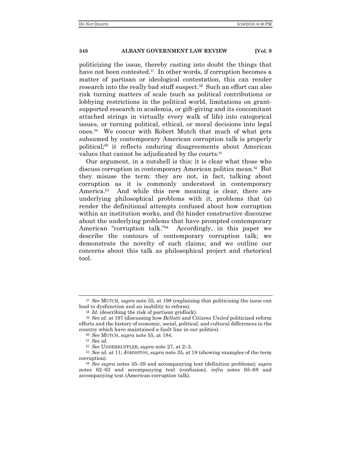politicizing the issue, thereby casting into doubt the things that have not been contested.<sup>57</sup> In other words, if corruption becomes a matter of partisan or ideological contestation, this can render research into the really bad stuff suspect.58 Such an effort can also risk turning matters of scale (such as political contributions or lobbying restrictions in the political world, limitations on grantsupported research in academia, or gift-giving and its concomitant attached strings in virtually every walk of life) into categorical issues, or turning political, ethical, or moral decisions into legal ones.59 We concur with Robert Mutch that much of what gets subsumed by contemporary American corruption talk is properly political;60 it reflects enduring disagreements about American values that cannot be adjudicated by the courts.<sup>61</sup>

Our argument, in a nutshell is this: it is clear what those who discuss corruption in contemporary American politics mean.62 But they misuse the term: they are not, in fact, talking about corruption as it is commonly understood in contemporary America.<sup>63</sup> And while this new meaning is clear, there are underlying philosophical problems with it, problems that (a) render the definitional attempts confused about how corruption within an institution works, and (b) hinder constructive discourse about the underlying problems that have prompted contemporary American "corruption talk."64 Accordingly, in this paper we describe the contours of contemporary corruption talk; we demonstrate the novelty of such claims; and we outline our concerns about this talk as philosophical project and rhetorical tool.

<sup>57</sup> *See* MUTCH*, supra* note 55*,* at 198 (explaining that politicizing the issue can lead to dysfunction and an inability to reform).

<sup>58</sup> *Id.* (describing the risk of partisan gridlock).

<sup>59</sup> *See id.* at 197 (discussing how *Bellotti* and *Citizens United* politicized reform efforts and the history of economic, social, political, and cultural differences in the country which have maintained a fault line in our politics).

<sup>60</sup> *See* MUTCH, *supra* note 55, at 184.

<sup>61</sup> *See id.*

<sup>62</sup> *See* UNDERKUFFLER, *supra* note 27, at 2–3.

<sup>63</sup> *See id.* at 11; JOHNSTON, *supra* note 35, at 18 (showing examples of the term corruption).

<sup>64</sup> *See supra* notes 35–39 and accompanying text (definition problems); *supra* notes 62–63 and accompanying text (confusion); *infra* notes 65–68 and accompanying text (American corruption talk).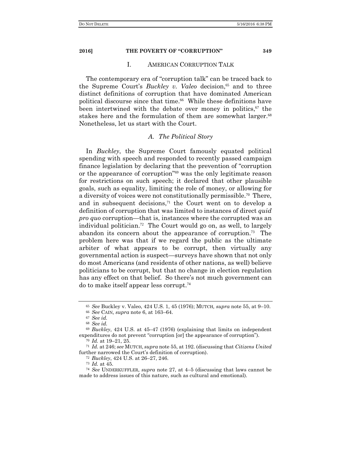#### I. AMERICAN CORRUPTION TALK

The contemporary era of "corruption talk" can be traced back to the Supreme Court's *Buckley v. Valeo* decision.<sup>65</sup> and to three distinct definitions of corruption that have dominated American political discourse since that time.<sup>66</sup> While these definitions have been intertwined with the debate over money in politics, $67$  the stakes here and the formulation of them are somewhat larger.<sup>68</sup> Nonetheless, let us start with the Court.

#### *A. The Political Story*

In *Buckley*, the Supreme Court famously equated political spending with speech and responded to recently passed campaign finance legislation by declaring that the prevention of "corruption or the appearance of corruption"69 was the only legitimate reason for restrictions on such speech; it declared that other plausible goals, such as equality, limiting the role of money, or allowing for a diversity of voices were not constitutionally permissible.<sup>70</sup> There, and in subsequent decisions, $71$  the Court went on to develop a definition of corruption that was limited to instances of direct *quid pro quo* corruption—that is, instances where the corrupted was an individual politician.<sup>72</sup> The Court would go on, as well, to largely abandon its concern about the appearance of corruption.73 The problem here was that if we regard the public as the ultimate arbiter of what appears to be corrupt, then virtually any governmental action is suspect—surveys have shown that not only do most Americans (and residents of other nations, as well) believe politicians to be corrupt, but that no change in election regulation has any effect on that belief. So there's not much government can do to make itself appear less corrupt.<sup>74</sup>

<sup>65</sup> *See* Buckley v. Valeo, 424 U.S. 1, 45 (1976); MUTCH*, supra* note 55, at 9–10.

<sup>66</sup> *See* CAIN*, supra* note 6, at 163–64.

<sup>67</sup> *See id.*

<sup>68</sup> *See id.*

<sup>69</sup> *Buckley*, 424 U.S. at 45–47 (1976) (explaining that limits on independent expenditures do not prevent "corruption [or] the appearance of corruption").

<sup>70</sup> *Id.* at 19–21, 25.

<sup>71</sup> *Id.* at 246; *see* MUTCH, *supra* note 55, at 192. (discussing that *Citizens United* further narrowed the Court's definition of corruption).

<sup>72</sup> *Buckley*, 424 U.S. at 26–27, 246.

<sup>73</sup> *Id.* at 45.

<sup>74</sup> *See* UNDERKUFFLER, *supra* note 27, at 4–5 (discussing that laws cannot be made to address issues of this nature, such as cultural and emotional).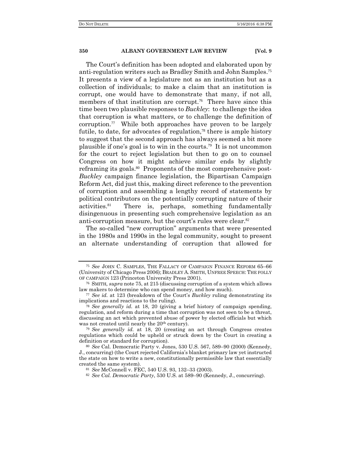The Court's definition has been adopted and elaborated upon by anti-regulation writers such as Bradley Smith and John Samples.<sup>75</sup> It presents a view of a legislature not as an institution but as a collection of individuals; to make a claim that an institution is corrupt, one would have to demonstrate that many, if not all, members of that institution are corrupt.<sup>76</sup> There have since this time been two plausible responses to *Buckley*: to challenge the idea that corruption is what matters, or to challenge the definition of corruption.<sup>77</sup> While both approaches have proven to be largely futile, to date, for advocates of regulation, $\frac{7}{8}$  there is ample history to suggest that the second approach has always seemed a bit more plausible if one's goal is to win in the courts.79 It is not uncommon for the court to reject legislation but then to go on to counsel Congress on how it might achieve similar ends by slightly reframing its goals.<sup>80</sup> Proponents of the most comprehensive post-*Buckley* campaign finance legislation, the Bipartisan Campaign Reform Act, did just this, making direct reference to the prevention of corruption and assembling a lengthy record of statements by political contributors on the potentially corrupting nature of their activities.81 There is, perhaps, something fundamentally disingenuous in presenting such comprehensive legislation as an anti-corruption measure, but the court's rules were clear.<sup>82</sup>

The so-called "new corruption" arguments that were presented in the 1980s and 1990s in the legal community, sought to present an alternate understanding of corruption that allowed for

<sup>75</sup> *See* JOHN C. SAMPLES, THE FALLACY OF CAMPAIGN FINANCE REFORM 65–66 (University of Chicago Press 2006); BRADLEY A. SMITH, UNFREE SPEECH: THE FOLLY OF CAMPAIGN 123 (Princeton University Press 2001).

<sup>76</sup> SMITH*, supra* note 75, at 215 (discussing corruption of a system which allows law makers to determine who can spend money, and how much).

<sup>77</sup> *See id.* at 123 (breakdown of the Court's *Buckley* ruling demonstrating its implications and reactions to the ruling).

<sup>78</sup> *See generally id.* at 18, 20 (giving a brief history of campaign spending, regulation, and reform during a time that corruption was not seen to be a threat, discussing an act which prevented abuse of power by elected officials but which was not created until nearly the 20<sup>th</sup> century).

<sup>79</sup> *See generally id.* at 18, 20 (creating an act through Congress creates regulations which could be upheld or struck down by the Court in creating a definition or standard for corruption).

<sup>80</sup> *See* Cal. Democratic Party v. Jones, 530 U.S. 567, 589–90 (2000) (Kennedy, J., concurring) (the Court rejected California's blanket primary law yet instructed the state on how to write a new, constitutionally permissible law that essentially created the same system).

<sup>81</sup> *See* McConnell v. FEC, 540 U.S. 93, 132–33 (2003).

<sup>82</sup> *See Cal. Democratic Party*, 530 U.S. at 589–90 (Kennedy, J., concurring).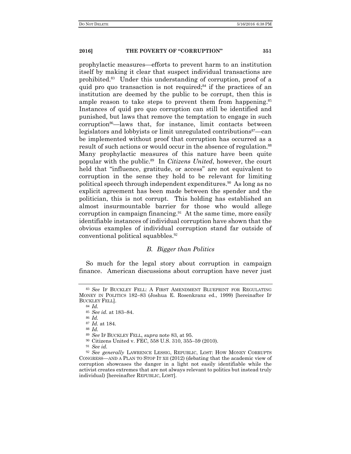prophylactic measures—efforts to prevent harm to an institution itself by making it clear that suspect individual transactions are prohibited.83 Under this understanding of corruption, proof of a quid pro quo transaction is not required;<sup>84</sup> if the practices of an institution are deemed by the public to be corrupt, then this is ample reason to take steps to prevent them from happening.<sup>85</sup> Instances of quid pro quo corruption can still be identified and punished, but laws that remove the temptation to engage in such corruption<sup>86</sup>—laws that, for instance, limit contacts between legislators and lobbyists or limit unregulated contributions<sup>87</sup>—can be implemented without proof that corruption has occurred as a result of such actions or would occur in the absence of regulation.<sup>88</sup> Many prophylactic measures of this nature have been quite popular with the public.89 In *Citizens United*, however, the court held that "influence, gratitude, or access" are not equivalent to corruption in the sense they hold to be relevant for limiting political speech through independent expenditures.90 As long as no explicit agreement has been made between the spender and the politician, this is not corrupt. This holding has established an almost insurmountable barrier for those who would allege corruption in campaign financing.<sup>91</sup> At the same time, more easily identifiable instances of individual corruption have shown that the obvious examples of individual corruption stand far outside of conventional political squabbles.<sup>92</sup>

### *B. Bigger than Politics*

So much for the legal story about corruption in campaign finance. American discussions about corruption have never just

<sup>84</sup> *Id.*

<sup>88</sup> *Id.*

<sup>91</sup> *See id.*

<sup>83</sup> *See* IF BUCKLEY FELL: A FIRST AMENDMENT BLUEPRINT FOR REGULATING MONEY IN POLITICS 182–83 (Joshua E. Rosenkranz ed., 1999) [hereinafter IF BUCKLEY FELL].

<sup>85</sup> *See id*. at 183–84.

<sup>86</sup> *Id.*

<sup>87</sup> *Id.* at 184.

<sup>89</sup> *See* IF BUCKLEY FELL, *supra* note 83, at 95.

<sup>90</sup> Citizens United v. FEC, 558 U.S. 310, 355–59 (2010).

<sup>92</sup> *See generally* LAWRENCE LESSIG, REPUBLIC, LOST: HOW MONEY CORRUPTS CONGRESS—AND A PLAN TO STOP IT XII (2012) (debating that the academic view of corruption showcases the danger in a light not easily identifiable while the activist creates extremes that are not always relevant to politics but instead truly individual) [hereinafter REPUBLIC, LOST].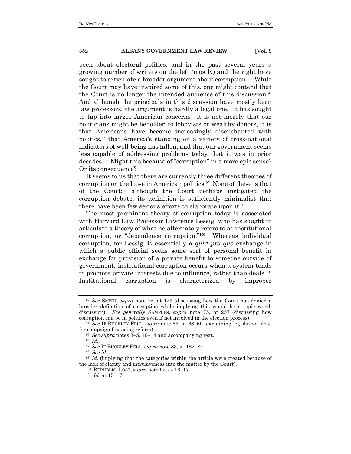been about electoral politics, and in the past several years a growing number of writers on the left (mostly) and the right have sought to articulate a broader argument about corruption.<sup>93</sup> While the Court may have inspired some of this, one might contend that the Court is no longer the intended audience of this discussion.<sup>94</sup> And although the principals in this discussion have mostly been law professors, the argument is hardly a legal one. It has sought to tap into larger American concerns—it is not merely that our politicians might be beholden to lobbyists or wealthy donors, it is that Americans have become increasingly disenchanted with politics,95 that America's standing on a variety of cross-national indicators of well-being has fallen, and that our government seems less capable of addressing problems today that it was in prior decades.96 Might this because of "corruption" in a more epic sense? Or its consequence?

It seems to us that there are currently three different theories of corruption on the loose in American politics.<sup>97</sup> None of these is that of the Court;98 although the Court perhaps instigated the corruption debate, its definition is sufficiently minimalist that there have been few serious efforts to elaborate upon it.<sup>99</sup>

The most prominent theory of corruption today is associated with Harvard Law Professor Lawrence Lessig, who has sought to articulate a theory of what he alternately refers to as institutional corruption, or "dependence corruption."100 Whereas individual corruption, for Lessig, is essentially a *quid pro quo* exchange in which a public official seeks some sort of personal benefit in exchange for provision of a private benefit to someone outside of government, institutional corruption occurs when a system tends to promote private interests due to influence, rather than deals.<sup>101</sup> Institutional corruption is characterized by improper

<sup>93</sup> *See* SMITH, *supra* note 75, at 123 (discussing how the Court has denied a broader definition of corruption while implying this would be a topic worth discussion). *See generally* SAMPLES, *supra* note 75, at 257 (discussing how corruption can be in politics even if not involved in the election process).

<sup>94</sup> *See* IF BUCKLEY FELL*, supra* note 83, at 68–69 (explaining legislative ideas for campaign financing reform).

<sup>95</sup> *See supra* notes 3–5, 10–14 and accompanying text.

<sup>96</sup> *Id.*

<sup>97</sup> *See* IF BUCKLEY FELL, *supra* note 83, at 182–84.

<sup>98</sup> *See id.*

<sup>99</sup> *Id.* (implying that the categories within the article were created because of the lack of clarity and intrusiveness into the matter by the Court).

<sup>100</sup> REPUBLIC, LOST, *supra* note 92, at 16–17.

<sup>101</sup> *Id.* at 15–17.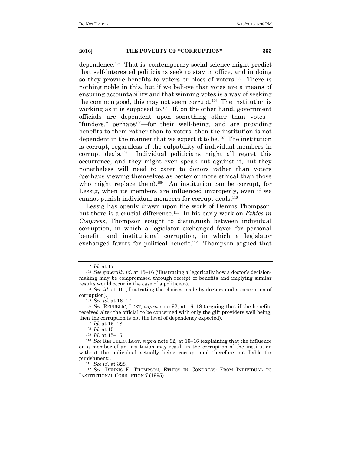dependence.102 That is, contemporary social science might predict that self-interested politicians seek to stay in office, and in doing so they provide benefits to voters or blocs of voters.<sup>103</sup> There is nothing noble in this, but if we believe that votes are a means of ensuring accountability and that winning votes is a way of seeking the common good, this may not seem corrupt. $104$  The institution is working as it is supposed to.<sup>105</sup> If, on the other hand, government officials are dependent upon something other than votes— "funders," perhaps<sup>106</sup>—for their well-being, and are providing benefits to them rather than to voters, then the institution is not dependent in the manner that we expect it to be.107 The institution is corrupt, regardless of the culpability of individual members in corrupt deals.108 Individual politicians might all regret this occurrence, and they might even speak out against it, but they nonetheless will need to cater to donors rather than voters (perhaps viewing themselves as better or more ethical than those who might replace them).<sup>109</sup> An institution can be corrupt, for Lessig, when its members are influenced improperly, even if we cannot punish individual members for corrupt deals.<sup>110</sup>

Lessig has openly drawn upon the work of Dennis Thompson, but there is a crucial difference.111 In his early work on *Ethics in Congress*, Thompson sought to distinguish between individual corruption, in which a legislator exchanged favor for personal benefit, and institutional corruption, in which a legislator exchanged favors for political benefit.<sup>112</sup> Thompson argued that

<sup>102</sup> *Id.* at 17.

<sup>103</sup> *See generally id*. at 15–16 (illustrating allegorically how a doctor's decisionmaking may be compromised through receipt of benefits and implying similar results would occur in the case of a politician).

<sup>104</sup> *See id.* at 16 (illustrating the choices made by doctors and a conception of corruption).

<sup>105</sup> *See id.* at 16–17.

<sup>106</sup> *See* REPUBLIC, LOST, *supra* note 92, at 16–18 (arguing that if the benefits received alter the official to be concerned with only the gift providers well being, then the corruption is not the level of dependency expected).

<sup>107</sup> *Id.* at 15–18.

<sup>108</sup> *Id.* at 15.

<sup>109</sup> *Id.* at 15–16.

<sup>110</sup> *See* REPUBLIC, LOST*, supra* note 92, at 15–16 (explaining that the influence on a member of an institution may result in the corruption of the institution without the individual actually being corrupt and therefore not liable for punishment).

<sup>111</sup> *See id.* at 328.

<sup>112</sup> *See* DENNIS F. THOMPSON, ETHICS IN CONGRESS: FROM INDIVIDUAL TO INSTITUTIONAL CORRUPTION 7 (1995).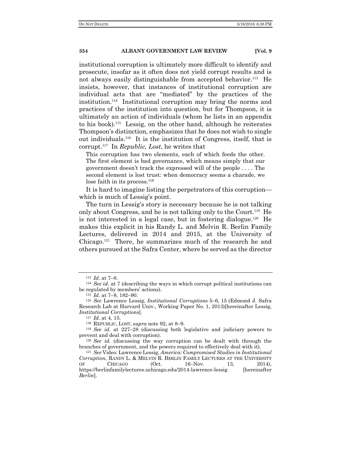institutional corruption is ultimately more difficult to identify and prosecute, insofar as it often does not yield corrupt results and is not always easily distinguishable from accepted behavior.<sup>113</sup> He insists, however, that instances of institutional corruption are individual acts that are "mediated" by the practices of the institution.114 Institutional corruption may bring the norms and practices of the institution into question, but for Thompson, it is ultimately an action of individuals (whom he lists in an appendix to his book).115 Lessig, on the other hand, although he reiterates Thompson's distinction, emphasizes that he does not wish to single out individuals.116 It is the institution of Congress, itself, that is corrupt.117 In *Republic, Lost*, he writes that

This corruption has two elements, each of which feeds the other. The first element is bad governance, which means simply that our government doesn't track the expressed will of the people . . . . The second element is lost trust: when democracy seems a charade, we lose faith in its process.<sup>118</sup>

It is hard to imagine listing the perpetrators of this corruption which is much of Lessig's point.

The turn in Lessig's story is necessary because he is not talking only about Congress, and he is not talking only to the Court.119 He is not interested in a legal case, but in fostering dialogue.120 He makes this explicit in his Randy L. and Melvin R. Berlin Family Lectures, delivered in 2014 and 2015, at the University of Chicago.121 There, he summarizes much of the research he and others pursued at the Safra Center, where he served as the director

<sup>113</sup> *Id.* at 7–8.

<sup>114</sup> *See id.* at 7 (describing the ways in which corrupt political institutions can be regulated by members' actions).

<sup>115</sup> *Id.* at 7–8, 182–90.

<sup>116</sup> *See* Lawrence Lessig, *Institutional Corruptions* 5–6, 15 (Edmond J. Safra Research Lab at Harvard Univ., Working Paper No. 1, 2013)[hereinafter Lessig, *Institutional Corruptions*].

<sup>117</sup> *Id.* at 4, 15.

<sup>118</sup> REPUBLIC, LOST, *supra* note 92, at 8–9.

<sup>119</sup> *See id.* at 227–28 (discussing both legislative and judiciary powers to prevent and deal with corruption).

<sup>120</sup> *See id.* (discussing the way corruption can be dealt with through the branches of government, and the powers required to effectively deal with it).

<sup>121</sup> *See* Video: Lawrence Lessig, *America: Compromised Studies in Institutional Corruption*, RANDY L. & MELVIN R. BERLIN FAMILY LECTURES AT THE UNIVERSITY OF CHICAGO (Oct. 16–Nov. 13, 2014), https://berlinfamilylectures.uchicago.edu/2014-lawrence-lessig [hereinafter] *Berlin*].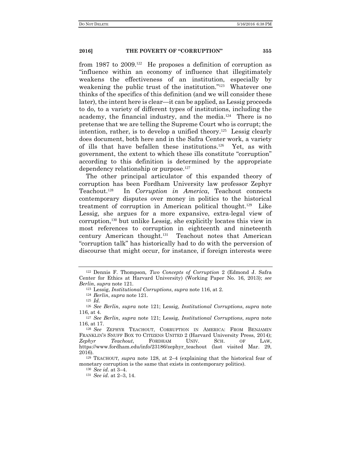from 1987 to 2009.122 He proposes a definition of corruption as "influence within an economy of influence that illegitimately weakens the effectiveness of an institution, especially by weakening the public trust of the institution."123 Whatever one thinks of the specifics of this definition (and we will consider these later), the intent here is clear—it can be applied, as Lessig proceeds to do, to a variety of different types of institutions, including the academy, the financial industry, and the media.124 There is no pretense that we are telling the Supreme Court who is corrupt; the intention, rather, is to develop a unified theory.<sup>125</sup> Lessig clearly does document, both here and in the Safra Center work, a variety of ills that have befallen these institutions.126 Yet, as with government, the extent to which these ills constitute "corruption" according to this definition is determined by the appropriate dependency relationship or purpose.<sup>127</sup>

The other principal articulator of this expanded theory of corruption has been Fordham University law professor Zephyr Teachout.128 In *Corruption in America*, Teachout connects contemporary disputes over money in politics to the historical treatment of corruption in American political thought.129 Like Lessig, she argues for a more expansive, extra-legal view of corruption,130 but unlike Lessig, she explicitly locates this view in most references to corruption in eighteenth and nineteenth century American thought.131 Teachout notes that American "corruption talk" has historically had to do with the perversion of discourse that might occur, for instance, if foreign interests were

<sup>122</sup> Dennis F. Thompson*, Two Concepts of Corruption* 2 (Edmond J. Safra Center for Ethics at Harvard University) (Working Paper No. 16, 2013); *see Berlin*, *supra* note 121*.*

<sup>123</sup> Lessig, *Institutional Corruptions*, *supra* note 116, at 2.

<sup>124</sup> *Berlin*, *supra* note 121.

<sup>125</sup> *Id.*

<sup>126</sup> *See Berlin*, *supra* note 121; Lessig, *Institutional Corruptions*, *supra* note 116, at 4.

<sup>127</sup> *See Berlin*, *supra* note 121; Lessig, *Institutional Corruptions*, *supra* note 116, at 17.

<sup>128</sup> *See* ZEPHYR TEACHOUT, CORRUPTION IN AMERICA: FROM BENJAMIN FRANKLIN'S SNUFF BOX TO CITIZENS UNITED 2 (Harvard University Press, 2014);<br> *Zephyr* Teachout. FORDHAM UNIV. SCH. OF LAW. *Zephyr Teachout*, FORDHAM UNIV. SCH. OF LAW, https://www.fordham.edu/info/23186/zephyr\_teachout (last visited Mar. 29, 2016).

<sup>129</sup> TEACHOUT*, supra* note 128, at 2–4 (explaining that the historical fear of monetary corruption is the same that exists in contemporary politics).

<sup>130</sup> *See id.* at 3–4.

<sup>131</sup> *See id.* at 2–3, 14.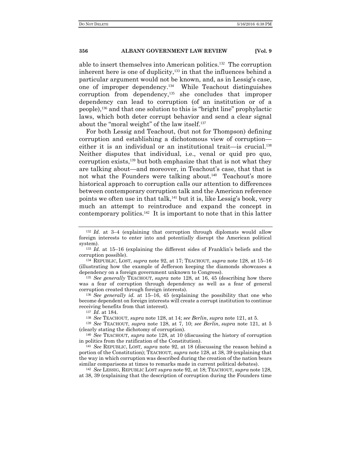able to insert themselves into American politics.132 The corruption inherent here is one of duplicity, $133$  in that the influences behind a particular argument would not be known, and, as in Lessig's case, one of improper dependency.134 While Teachout distinguishes corruption from dependency,135 she concludes that improper dependency can lead to corruption (of an institution or of a people),136 and that one solution to this is "bright line" prophylactic laws, which both deter corrupt behavior and send a clear signal about the "moral weight" of the law itself.<sup>137</sup>

For both Lessig and Teachout, (but not for Thompson) defining corruption and establishing a dichotomous view of corruption either it is an individual or an institutional trait—is crucial.<sup>138</sup> Neither disputes that individual, i.e., venal or quid pro quo, corruption exists,139 but both emphasize that that is not what they are talking about—and moreover, in Teachout's case, that that is not what the Founders were talking about.<sup>140</sup> Teachout's more historical approach to corruption calls our attention to differences between contemporary corruption talk and the American reference points we often use in that talk,<sup>141</sup> but it is, like Lessig's book, very much an attempt to reintroduce and expand the concept in contemporary politics.<sup>142</sup> It is important to note that in this latter

<sup>135</sup> *See generally* TEACHOUT, *supra* note 128, at 16, 45 (describing how there was a fear of corruption through dependency as well as a fear of general corruption created through foreign interests).

<sup>136</sup> *See generally id.* at 15–16, 45 (explaining the possibility that one who become dependent on foreign interests will create a corrupt institution to continue receiving benefits from that interest).

<sup>137</sup> *Id*. at 184.

<sup>138</sup> *See* TEACHOUT, *supra* note 128, at 14; *see Berlin*, *supra* note 121, at 5.

<sup>139</sup> *See* TEACHOUT, *supra* note 128, at 7, 10; *see Berlin*, *supra* note 121, at 5 (clearly stating the dichotomy of corruption).

<sup>140</sup> *See* TEACHOUT, *supra* note 128, at 10 (discussing the history of corruption in politics from the ratification of the Constitution).

<sup>141</sup> *See* REPUBLIC, LOST*, supra* note 92, at 18 (discussing the reason behind a portion of the Constitution); TEACHOUT, *supra* note 128, at 38, 39 (explaining that the way in which corruption was described during the creation of the nation bears similar comparisons at times to remarks made in current political debates).

<sup>142</sup> *See* LESSIG, REPUBLIC LOST *supra* note 92, at 18; TEACHOUT, *supra* note 128, at 38, 39 (explaining that the description of corruption during the Founders time

<sup>132</sup> *Id.* at 3–4 (explaining that corruption through diplomats would allow foreign interests to enter into and potentially disrupt the American political system).

<sup>133</sup> *Id.* at 15–16 (explaining the different sides of Franklin's beliefs and the corruption possible).

<sup>134</sup> REPUBLIC, LOST, *supra* note 92, at 17; TEACHOUT, *supra* note 128, at 15–16 (illustrating how the example of Jefferson keeping the diamonds showcases a dependency on a foreign government unknown to Congress).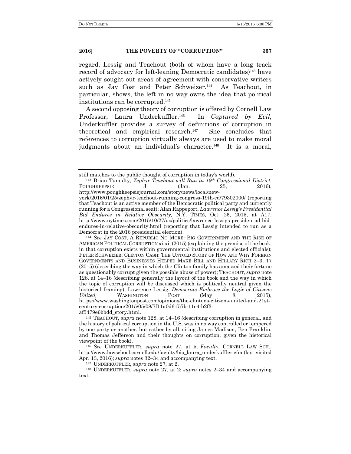regard, Lessig and Teachout (both of whom have a long track record of advocacy for left-leaning Democratic candidates)<sup>143</sup> have actively sought out areas of agreement with conservative writers such as Jay Cost and Peter Schweizer.<sup>144</sup> As Teachout, in particular, shows, the left in no way owns the idea that political institutions can be corrupted.<sup>145</sup>

A second opposing theory of corruption is offered by Cornell Law Professor, Laura Underkuffler.<sup>146</sup> In *Captured by Evil*, Underkuffler provides a survey of definitions of corruption in theoretical and empirical research.147 She concludes that references to corruption virtually always are used to make moral judgments about an individual's character.<sup>148</sup> It is a moral,

<sup>146</sup> *See* UNDERKUFFLER, *supra* note 27, at 5; *Faculty*, CORNELL LAW SCH., http://www.lawschool.cornell.edu/faculty/bio\_laura\_underkuffler.cfm (last visited Apr. 13, 2016); *supra* notes 32–34 and accompanying text.

<sup>147</sup> UNDERKUFFLER, *supra* note 27, at 2.

<sup>148</sup> UNDERKUFFLER, *supra* note 27, at 2; *supra* notes 2–34 and accompanying text.

still matches to the public thought of corruption in today's world).

<sup>143</sup> Brian Tumulty, *Zephyr Teachout will Run in 19th Congressional District*, POUGHKEEPSIE J. (Jan. 25, 2016), http://www.poughkeepsiejournal.com/story/news/local/new-

york/2016/01/25/zephyr-teachout-running-congress-19th-cd/79302000/ (reporting that Teachout is an active member of the Democratic political party and currently running for a Congressional seat); Alan Rappeport, *Lawrence Lessig's Presidential Bid Endures in Relative Obscurity,* N.Y. TIMES, Oct. 26, 2015, at A17, http://www.nytimes.com/2015/10/27/us/politics/lawrence-lessigs-presidential-bidendures-in-relative-obscurity.html (reporting that Lessig intended to run as a Democrat in the 2016 presidential election).

<sup>144</sup> *See* JAY COST, A REPUBLIC NO MORE: BIG GOVERNMENT AND THE RISE OF AMERICAN POLITICAL CORRUPTION xi-xii (2015) (explaining the premise of the book, in that corruption exists within governmental institutions and elected officials); PETER SCHWEIZER, CLINTON CASH: THE UNTOLD STORY OF HOW AND WHY FOREIGN GOVERNMENTS AND BUSINESSES HELPED MAKE BILL AND HILLARY RICH 2–3, 17 (2015) (describing the way in which the Clinton family has amassed their fortune as questionably corrupt given the possible abuse of power); TEACHOUT, *supra* note 128, at 14–16 (describing generally the layout of the book and the way in which the topic of corruption will be discussed which is politically neutral given the historical framing); Lawrence Lessig, *Democrats Embrace the Logic of Citizens United,* WASHINGTON POST (May 8, 2015), https://www.washingtonpost.com/opinions/the-clintons-citizens-united-and-21stcentury-corruption/2015/05/08/7f11a0d6-f57b-11e4-b2f3 af5479e6bbdd\_story.html.

<sup>145</sup> TEACHOUT, *supra* note 128, at 14–16 (describing corruption in general, and the history of political corruption in the U.S. was in no way controlled or tempered by one party or another, but rather by all, citing James Madison, Ben Franklin, and Thomas Jefferson and their thoughts on corruption, given the historical viewpoint of the book).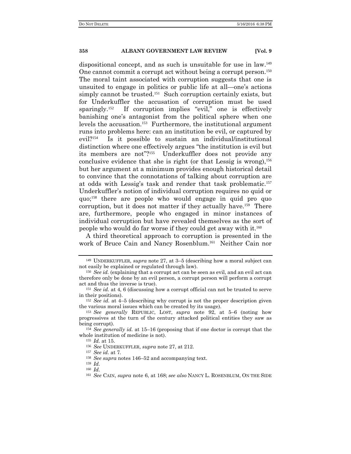dispositional concept, and as such is unsuitable for use in law.<sup>149</sup> One cannot commit a corrupt act without being a corrupt person.<sup>150</sup> The moral taint associated with corruption suggests that one is unsuited to engage in politics or public life at all—one's actions simply cannot be trusted.<sup>151</sup> Such corruption certainly exists, but for Underkuffler the accusation of corruption must be used sparingly.<sup>152</sup> If corruption implies "evil," one is effectively banishing one's antagonist from the political sphere when one levels the accusation.153 Furthermore, the institutional argument runs into problems here: can an institution be evil, or captured by evil?154 Is it possible to sustain an individual/institutional distinction where one effectively argues "the institution is evil but its members are not"?155 Underkuffler does not provide any conclusive evidence that she is right (or that Lessig is wrong),  $156$ but her argument at a minimum provides enough historical detail to convince that the connotations of talking about corruption are at odds with Lessig's task and render that task problematic.<sup>157</sup> Underkuffler's notion of individual corruption requires no quid or quo;158 there are people who would engage in quid pro quo corruption, but it does not matter if they actually have.<sup>159</sup> There are, furthermore, people who engaged in minor instances of individual corruption but have revealed themselves as the sort of people who would do far worse if they could get away with it.<sup>160</sup>

A third theoretical approach to corruption is presented in the work of Bruce Cain and Nancy Rosenblum.161 Neither Cain nor

<sup>149</sup> UNDERKUFFLER, *supra* note 27, at 3–5 (describing how a moral subject can not easily be explained or regulated through law).

<sup>150</sup> *See id.* (explaining that a corrupt act can be seen as evil, and an evil act can therefore only be done by an evil person, a corrupt person will perform a corrupt act and thus the inverse is true).

<sup>151</sup> *See id.* at 4, 6 (discussing how a corrupt official can not be trusted to serve in their positions).

<sup>152</sup> *See id.* at 4–5 (describing why corrupt is not the proper description given the various moral issues which can be created by its usage).

<sup>153</sup> *See generally* REPUBLIC, LOST, *supra* note 92, at 5–6 (noting how progressives at the turn of the century attacked political entities they saw as being corrupt).

<sup>154</sup> *See generally id.* at 15–16 (proposing that if one doctor is corrupt that the whole institution of medicine is not).

<sup>155</sup> *Id.* at 15.

<sup>156</sup> *See* UNDERKUFFLER, *supra* note 27, at 212.

<sup>157</sup> *See id.* at 7*.*

<sup>158</sup> *See supra* notes 146–52 and accompanying text.

<sup>159</sup> *Id.* <sup>160</sup> *Id.*

<sup>161</sup> *See* CAIN, *supra* note 6, at 168; *see also* NANCY L. ROSENBLUM, ON THE SIDE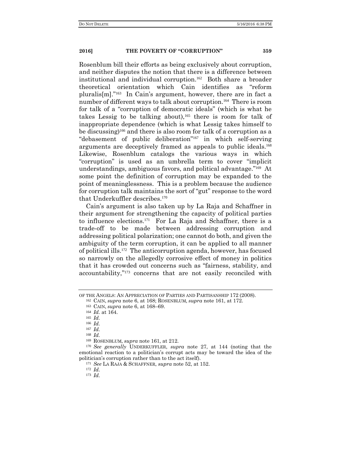Rosenblum bill their efforts as being exclusively about corruption, and neither disputes the notion that there is a difference between institutional and individual corruption.162 Both share a broader theoretical orientation which Cain identifies as "reform pluralis[m]."163 In Cain's argument, however, there are in fact a number of different ways to talk about corruption.<sup>164</sup> There is room for talk of a "corruption of democratic ideals" (which is what he takes Lessig to be talking about),<sup>165</sup> there is room for talk of inappropriate dependence (which is what Lessig takes himself to be discussing)166 and there is also room for talk of a corruption as a "debasement of public deliberation"167 in which self-serving arguments are deceptively framed as appeals to public ideals.<sup>168</sup> Likewise, Rosenblum catalogs the various ways in which "corruption" is used as an umbrella term to cover "implicit understandings, ambiguous favors, and political advantage."169 At some point the definition of corruption may be expanded to the point of meaninglessness. This is a problem because the audience for corruption talk maintains the sort of "gut" response to the word that Underkuffler describes.<sup>170</sup>

Cain's argument is also taken up by La Raja and Schaffner in their argument for strengthening the capacity of political parties to influence elections.171 For La Raja and Schaffner, there is a trade-off to be made between addressing corruption and addressing political polarization; one cannot do both, and given the ambiguity of the term corruption, it can be applied to all manner of political ills.172 The anticorruption agenda, however, has focused so narrowly on the allegedly corrosive effect of money in politics that it has crowded out concerns such as "fairness, stability, and accountability,"173 concerns that are not easily reconciled with

<sup>168</sup> *Id.*

<sup>172</sup> *Id.*

OF THE ANGELS: AN APPRECIATION OF PARTIES AND PARTISANSHIP 172 (2008). <sup>162</sup> CAIN, *supra* note 6, at 168; ROSENBLUM*, supra* note 161, at 172.

<sup>163</sup> CAIN, *supra* note 6, at 168–69.

<sup>164</sup> *Id.* at 164.

<sup>165</sup> *Id.*

<sup>166</sup> *Id.*

<sup>167</sup> *Id.*

<sup>169</sup> ROSENBLUM*, supra* note 161, at 212.

<sup>170</sup> *See generally* UNDERKUFFLER, *supra* note 27, at 144 (noting that the emotional reaction to a politician's corrupt acts may be toward the idea of the politician's corruption rather than to the act itself).

<sup>171</sup> *See* LA RAJA & SCHAFFNER, *supra* note 52, at 152.

<sup>173</sup> *Id.*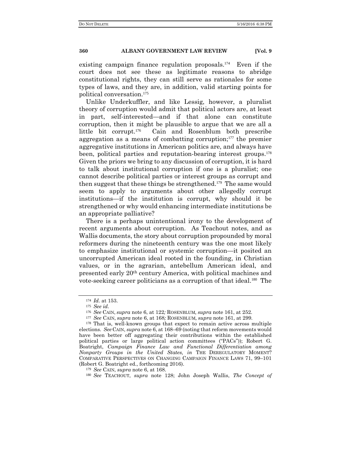existing campaign finance regulation proposals.174 Even if the court does not see these as legitimate reasons to abridge constitutional rights, they can still serve as rationales for some types of laws, and they are, in addition, valid starting points for political conversation.<sup>175</sup>

Unlike Underkuffler, and like Lessig, however, a pluralist theory of corruption would admit that political actors are, at least in part, self-interested—and if that alone can constitute corruption, then it might be plausible to argue that we are all a little bit corrupt.176 Cain and Rosenblum both prescribe aggregation as a means of combatting corruption;<sup>177</sup> the premier aggregative institutions in American politics are, and always have been, political parties and reputation-bearing interest groups.<sup>178</sup> Given the priors we bring to any discussion of corruption, it is hard to talk about institutional corruption if one is a pluralist; one cannot describe political parties or interest groups as corrupt and then suggest that these things be strengthened.179 The same would seem to apply to arguments about other allegedly corrupt institutions—if the institution is corrupt, why should it be strengthened or why would enhancing intermediate institutions be an appropriate palliative?

There is a perhaps unintentional irony to the development of recent arguments about corruption. As Teachout notes, and as Wallis documents, the story about corruption propounded by moral reformers during the nineteenth century was the one most likely to emphasize institutional or systemic corruption—it posited an uncorrupted American ideal rooted in the founding, in Christian values, or in the agrarian, antebellum American ideal, and presented early 20th century America, with political machines and vote-seeking career politicians as a corruption of that ideal.<sup>180</sup> The

<sup>174</sup> *Id.* at 153.

<sup>175</sup> *See id.*

<sup>176</sup> *See* CAIN, *supra* note 6, at 122*;* ROSENBLUM*, supra* note 161, at 252.

<sup>177</sup> *See* CAIN, *supra* note 6, at 168*;* ROSENBLUM*, supra* note 161, at 299.

<sup>178</sup> That is, well-known groups that expect to remain active across multiple elections. *See* CAIN, *supra* note 6, at 168–69 (noting that reform movements would have been better off aggregating their contributions within the established political parties or large political action committees ("PACs")); Robert G. Boatright, *Campaign Finance Law and Functional Differentiation among Nonparty Groups in the United States, in* THE DEREGULATORY MOMENT? COMPARATIVE PERSPECTIVES ON CHANGING CAMPAIGN FINANCE LAWS 71, 99–101 (Robert G. Boatright ed., forthcoming 2016).

<sup>179</sup> *See* CAIN, *supra* note 6, at 168.

<sup>180</sup> *See* TEACHOUT, *supra* note 128; John Joseph Wallis, *The Concept of*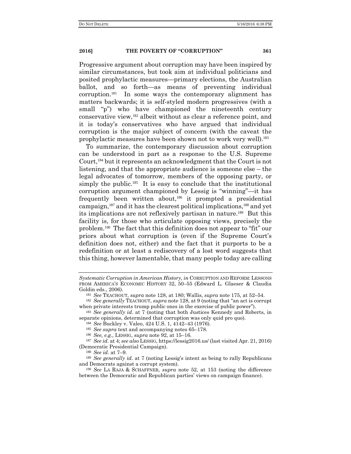Progressive argument about corruption may have been inspired by similar circumstances, but took aim at individual politicians and posited prophylactic measures—primary elections, the Australian ballot, and so forth—as means of preventing individual corruption.181 In some ways the contemporary alignment has matters backwards; it is self-styled modern progressives (with a small "p") who have championed the nineteenth century conservative view,182 albeit without as clear a reference point, and it is today's conservatives who have argued that individual corruption is the major subject of concern (with the caveat the prophylactic measures have been shown not to work very well).<sup>183</sup>

To summarize, the contemporary discussion about corruption can be understood in part as a response to the U.S. Supreme Court,184 but it represents an acknowledgment that the Court is not listening, and that the appropriate audience is someone else – the legal advocates of tomorrow, members of the opposing party, or simply the public.<sup>185</sup> It is easy to conclude that the institutional corruption argument championed by Lessig is "winning"—it has frequently been written about,<sup>186</sup> it prompted a presidential campaign,187 and it has the clearest political implications,188 and yet its implications are not reflexively partisan in nature.<sup>189</sup> But this facility is, for those who articulate opposing views, precisely the problem.190 The fact that this definition does not appear to "fit" our priors about what corruption is (even if the Supreme Court's definition does not, either) and the fact that it purports to be a redefinition or at least a rediscovery of a lost word suggests that this thing, however lamentable, that many people today are calling

*Systematic Corruption in American History, in* CORRUPTION AND REFORM: LESSONS FROM AMERICA'S ECONOMIC HISTORY 32, 50–55 (Edward L. Glaeser & Claudia Goldin eds., 2006).

<sup>181</sup> *See* TEACHOUT, *supra* note 128, at 180; Wallis, *supra* note 175, at 52–54.

<sup>182</sup> *See generally* TEACHOUT, *supra* note 128, at 9 (noting that "an act is corrupt when private interests trump public ones in the exercise of public power").

<sup>183</sup> *See generally id.* at 7 (noting that both Justices Kennedy and Roberts, in separate opinions, determined that corruption was only quid pro quo).

<sup>184</sup> *See* Buckley v. Valeo, 424 U.S. 1, 4142–43 (1976).

<sup>185</sup> *See supra* text and accompanying notes 65–178.

<sup>186</sup> *See, e.g.,* LESSIG, *supra* note 92, at 15–16.

<sup>187</sup> *See id.* at 4; *see also* LESSIG, https://lessig2016.us/ (last visited Apr. 21, 2016) (Democratic Presidential Campaign).

<sup>188</sup> *See id.* at 7–9.

<sup>189</sup> *See generally id.* at 7 (noting Lessig's intent as being to rally Republicans and Democrats against a corrupt system).

<sup>190</sup> *See* LA RAJA & SCHAFFNER*, supra* note 52, at 153 (noting the difference between the Democratic and Republican parties' views on campaign finance).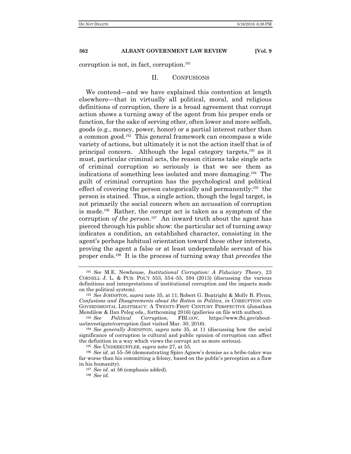corruption is not, in fact, corruption.<sup>191</sup>

#### II. CONFUSIONS

We contend—and we have explained this contention at length elsewhere—that in virtually all political, moral, and religious definitions of corruption, there is a broad agreement that corrupt action shows a turning away of the agent from his proper ends or function, for the sake of serving other, often lower and more selfish, goods (e.g., money, power, honor) or a partial interest rather than a common good.192 This general framework can encompass a wide variety of actions, but ultimately it is not the action itself that is of principal concern. Although the legal category targets,193 as it must, particular criminal acts, the reason citizens take single acts of criminal corruption so seriously is that we see them as indications of something less isolated and more damaging.194 The guilt of criminal corruption has the psychological and political effect of covering the person categorically and permanently: $195$  the person is stained. Thus, a single action, though the legal target, is not primarily the social concern when an accusation of corruption is made.196 Rather, the corrupt act is taken as a symptom of the corruption *of the person*. <sup>197</sup> An inward truth about the agent has pierced through his public show: the particular act of turning away indicates a condition, an established character, consisting in the agent's perhaps habitual orientation toward these other interests, proving the agent a false or at least undependable servant of his proper ends.198 It is the process of turning away that *precedes* the

<sup>191</sup> *See* M.E. Newhouse, *Institutional Corruption: A Fiduciary Theory*, 23 CORNELL J. L. & PUB. POL'Y 553, 554–55, 594 (2013) (discussing the various definitions and interpretations of institutional corruption and the impacts made on the political system).

<sup>192</sup> *See* JOHNSTON, *supra* note 35, at 11; Robert G. Boatright & Molly B. Flynn, *Confusions and Disagreements about the Rotten in Politics, in* CORRUPTION AND GOVERNMENTAL LEGITIMACY: A TWENTY-FIRST CENTURY PERSPECTIVE (Jonathan Mendilow & Ilan Peleg eds., forthcoming 2016) (galleries on file with author).

<sup>193</sup> *See Political Corruption*, FBI.GOV, https://www.fbi.gov/aboutus/investigate/corruption (last visited Mar. 30, 2016).

<sup>194</sup> *See generally* JOHNSTON, *supra* note 35, at 11 (discussing how the social significance of corruption is cultural and public opinion of corruption can affect the definition in a way which views the corrupt act as more serious).

<sup>195</sup> *See* UNDERKUFFLER, *supra* note 27, at 55.

<sup>196</sup> *See id.* at 55–56 (demonstrating Spiro Agnew's demise as a bribe-taker was far worse than his committing a felony, based on the public's perception as a flaw in his humanity).

<sup>197</sup> *See id.* at 56 (emphasis added).

<sup>198</sup> *See id.*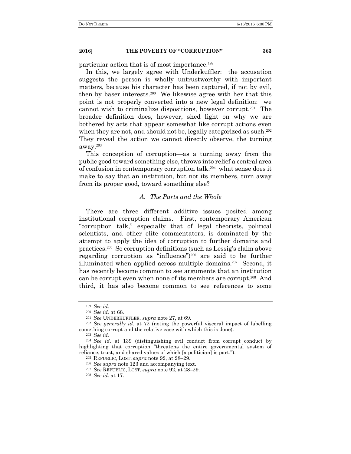particular action that is of most importance.<sup>199</sup>

In this, we largely agree with Underkuffler: the accusation suggests the person is wholly untrustworthy with important matters, because his character has been captured, if not by evil, then by baser interests.200 We likewise agree with her that this point is not properly converted into a new legal definition: we cannot wish to criminalize dispositions, however corrupt.201 The broader definition does, however, shed light on why we are bothered by acts that appear somewhat like corrupt actions even when they are not, and should not be, legally categorized as such.<sup>202</sup> They reveal the action we cannot directly observe, the turning away.<sup>203</sup>

This conception of corruption—as a turning away from the public good toward something else, throws into relief a central area of confusion in contemporary corruption talk:204 what sense does it make to say that an institution, but not its members, turn away from its proper good, toward something else?

#### *A. The Parts and the Whole*

There are three different additive issues posited among institutional corruption claims. First, contemporary American "corruption talk," especially that of legal theorists, political scientists, and other elite commentators, is dominated by the attempt to apply the idea of corruption to further domains and practices.205 So corruption definitions (such as Lessig's claim above regarding corruption as "influence")206 are said to be further illuminated when applied across multiple domains.<sup>207</sup> Second, it has recently become common to see arguments that an institution can be corrupt even when none of its members are corrupt.208 And third, it has also become common to see references to some

<sup>203</sup> *See id.*

<sup>199</sup> *See id.*

<sup>200</sup> *See id.* at 68.

<sup>201</sup> *See* UNDERKUFFLER, *supra* note 27, at 69.

<sup>202</sup> *See generally id.* at 72 (noting the powerful visceral impact of labelling something corrupt and the relative ease with which this is done).

<sup>204</sup> *See id.* at 139 (distinguishing evil conduct from corrupt conduct by highlighting that corruption "threatens the entire governmental system of reliance, trust, and shared values of which [a politician] is part.").

<sup>205</sup> REPUBLIC, LOST, *supra* note 92, at 28–29.

<sup>206</sup> *See supra* note 123 and accompanying text.

<sup>207</sup> *See* REPUBLIC, LOST, *supra* note 92, at 28–29.

<sup>208</sup> *See id.* at 17.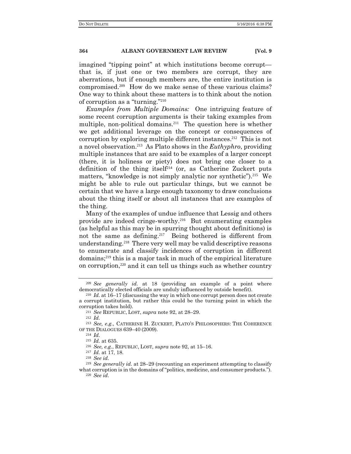imagined "tipping point" at which institutions become corrupt that is, if just one or two members are corrupt, they are aberrations, but if enough members are, the entire institution is compromised.209 How do we make sense of these various claims? One way to think about these matters is to think about the notion of corruption as a "turning."<sup>210</sup>

*Examples from Multiple Domains:* One intriguing feature of some recent corruption arguments is their taking examples from multiple, non-political domains.<sup>211</sup>The question here is whether we get additional leverage on the concept or consequences of corruption by exploring multiple different instances.<sup>212</sup> This is not a novel observation.213 As Plato shows in the *Euthyphro*, providing multiple instances that are said to be examples of a larger concept (there, it is holiness or piety) does not bring one closer to a definition of the thing itself<sup>214</sup> (or, as Catherine Zuckert puts matters, "knowledge is not simply analytic nor synthetic").<sup>215</sup> We might be able to rule out particular things, but we cannot be certain that we have a large enough taxonomy to draw conclusions about the thing itself or about all instances that are examples of the thing.

Many of the examples of undue influence that Lessig and others provide are indeed cringe-worthy.216 But enumerating examples (as helpful as this may be in spurring thought about definitions) is not the same as defining.217 Being bothered is different from understanding.218 There very well may be valid descriptive reasons to enumerate and classify incidences of corruption in different domains;219 this is a major task in much of the empirical literature on corruption,220 and it can tell us things such as whether country

<sup>212</sup> *Id.*

<sup>214</sup> *Id.*

<sup>218</sup> *See id.*

<sup>209</sup> *See generally id.* at 18 (providing an example of a point where democratically elected officials are unduly influenced by outside benefit).

<sup>210</sup> *Id.* at 16–17 (discussing the way in which one corrupt person does not create a corrupt institution, but rather this could be the turning point in which the corruption takes hold).

<sup>211</sup> *See* REPUBLIC, LOST, *supra* note 92, at 28–29.

<sup>213</sup> *See, e.g*., CATHERINE H. ZUCKERT, PLATO'S PHILOSOPHERS: THE COHERENCE OF THE DIALOGUES 639–40 (2009).

<sup>215</sup> *Id.* at 635.

<sup>216</sup> *See, e.g.*, REPUBLIC, LOST, *supra* note 92, at 15–16.

<sup>217</sup> *Id.* at 17, 18.

<sup>219</sup> *See generally id.* at 28–29 (recounting an experiment attempting to classify what corruption is in the domains of "politics, medicine, and consumer products."). <sup>220</sup> *See id*.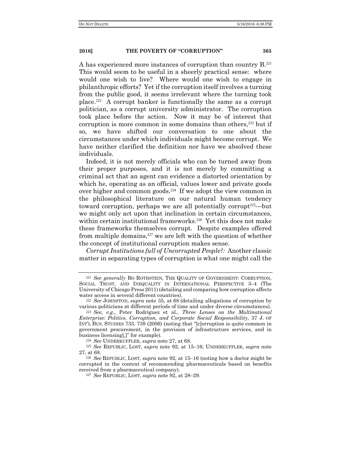A has experienced more instances of corruption than country B.<sup>221</sup> This would seem to be useful in a sheerly practical sense: where would one wish to live? Where would one wish to engage in philanthropic efforts? Yet if the corruption itself involves a turning from the public good, it seems irrelevant where the turning took place.<sup>222</sup> A corrupt banker is functionally the same as a corrupt politician, as a corrupt university administrator. The corruption took place before the action. Now it may be of interest that corruption is more common in some domains than others,<sup>223</sup> but if so, we have shifted our conversation to one about the circumstances under which individuals might become corrupt. We have neither clarified the definition nor have we absolved these individuals.

Indeed, it is not merely officials who can be turned away from their proper purposes, and it is not merely by committing a criminal act that an agent can evidence a distorted orientation by which he, operating as an official, values lower and private goods over higher and common goods.224 If we adopt the view common in the philosophical literature on our natural human tendency toward corruption, perhaps we are all potentially corrupt<sup>225</sup>—but we might only act upon that inclination in certain circumstances, within certain institutional frameworks.226 Yet this does not make these frameworks themselves corrupt. Despite examples offered from multiple domains, $227$  we are left with the question of whether the concept of institutional corruption makes sense.

*Corrupt Institutions full of Uncorrupted People?:* Another classic matter in separating types of corruption is what one might call the

<sup>221</sup> *See generally* BO ROTHSTEIN, THE QUALITY OF GOVERNMENT: CORRUPTION, SOCIAL TRUST, AND INEQUALITY IN INTERNATIONAL PERSPECTIVE 3–4 (The University of Chicago Press 2011) (detailing and comparing how corruption affects water access in several different countries).

<sup>222</sup> *See* JOHNSTON, *supra* note 35, at 68 (detailing allegations of corruption by various politicians at different periods of time and under diverse circumstances).

<sup>223</sup> *See, e.g.*, Peter Rodriguez et al., *Three Lenses on the Multinational Enterprise: Politics, Corruption, and Corporate Social Responsibility*, 37 J. OF INT'L BUS. STUDIES 733, 739 (2006) (noting that "[c]orruption is quite common in government procurement, in the provision of infrastructure services, and in business licensing[,]" for example).

<sup>224</sup> *See* UNDERKUFFLER, *supra* note 27, at 68.

<sup>225</sup> *See* REPUBLIC, LOST, *supra* note 92, at 15–16; UNDERKUFFLER, *supra* note 27, at 68.

<sup>226</sup> *See* REPUBLIC, LOST, *supra* note 92, at 15–16 (noting how a doctor might be corrupted in the context of recommending pharmaceuticals based on benefits received from a pharmaceutical company).

<sup>227</sup> *See* REPUBLIC, LOST, *supra* note 92, at 28–29.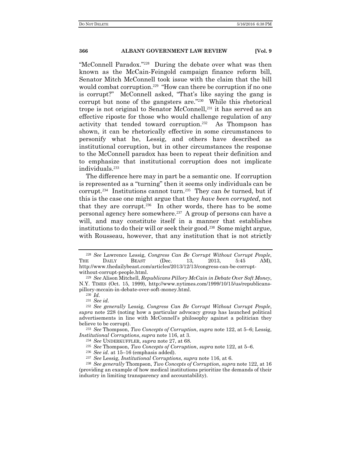"McConnell Paradox."228 During the debate over what was then known as the McCain-Feingold campaign finance reform bill, Senator Mitch McConnell took issue with the claim that the bill would combat corruption.<sup>229</sup> "How can there be corruption if no one is corrupt?" McConnell asked, "That's like saying the gang is corrupt but none of the gangsters are."230 While this rhetorical trope is not original to Senator McConnell,<sup>231</sup> it has served as an effective riposte for those who would challenge regulation of any activity that tended toward corruption.232 As Thompson has shown, it can be rhetorically effective in some circumstances to personify what he, Lessig, and others have described as institutional corruption, but in other circumstances the response to the McConnell paradox has been to repeat their definition and to emphasize that institutional corruption does not implicate individuals.<sup>233</sup>

The difference here may in part be a semantic one. If corruption is represented as a "turning" then it seems only individuals can be corrupt.234 Institutions cannot turn.235 They can *be* turned, but if this is the case one might argue that they *have been corrupted*, not that they are corrupt.236 In other words, there has to be some personal agency here somewhere.237 A group of persons can have a will, and may constitute itself in a manner that establishes institutions to do their will or seek their good.<sup>238</sup> Some might argue, with Rousseau, however, that any institution that is not strictly

<sup>233</sup> *See* Thompson, *Two Concepts of Corruption*, *supra* note 122, at 5–6; Lessig, *Institutional Corruptions*, *supra* note 116, at 3.

<sup>234</sup> *See* UNDERKUFFLER, *supra* note 27, at 68.

<sup>235</sup> *See* Thompson, *Two Concepts of Corruption*, *supra* note 122, at 5–6.

<sup>236</sup> *See id.* at 15–16 (emphasis added).

<sup>237</sup> *See* Lessig, *Institutional Corruptions*, *supra* note 116, at 6.

<sup>238</sup> *See generally* Thompson, *Two Concepts of Corruption*, *supra* note 122, at 16 (providing an example of how medical institutions prioritize the demands of their industry in limiting transparency and accountability).

<sup>228</sup> *See* Lawrence Lessig, *Congress Can Be Corrupt Without Corrupt People*, THE DAILY BEAST (Dec. 13, 2013, 5:45 AM), http://www.thedailybeast.com/articles/2013/12/13/congress-can-be-corruptwithout-corrupt-people.html.

<sup>229</sup> *See* Alison Mitchell, *Republicans Pillory McCain in Debate Over Soft Money*, N.Y. TIMES (Oct. 15, 1999), http://www.nytimes.com/1999/10/15/us/republicanspillory-mccain-in-debate-over-soft-money.html.

<sup>230</sup> *Id.*

<sup>231</sup> *See id.* 

<sup>232</sup> *See generally* Lessig, *Congress Can Be Corrupt Without Corrupt People*, *supra* note 228 (noting how a particular advocacy group has launched political advertisements in line with McConnell's philosophy against a politician they believe to be corrupt).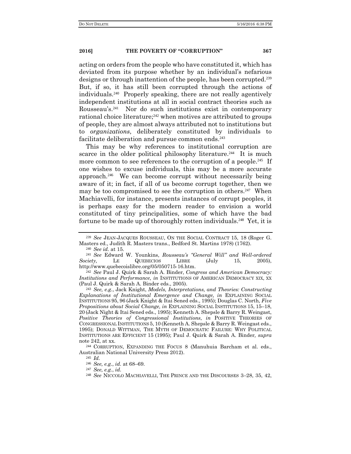acting on orders from the people who have constituted it, which has deviated from its purpose whether by an individual's nefarious designs or through inattention of the people, has been corrupted.<sup>239</sup> But, if so, it has still been corrupted through the actions of individuals.240 Properly speaking, there are not really agentively independent institutions at all in social contract theories such as Rousseau's.241 Nor do such institutions exist in contemporary rational choice literature; $242$  when motives are attributed to groups of people, they are almost always attributed not to institutions but to *organizations*, deliberately constituted by individuals to facilitate deliberation and pursue common ends.<sup>243</sup>

This may be why references to institutional corruption are scarce in the older political philosophy literature.<sup>244</sup> It is much more common to see references to the corruption of a people.<sup>245</sup> If one wishes to excuse individuals, this may be a more accurate approach.246 We can become corrupt without necessarily being aware of it; in fact, if all of us become corrupt together, then we may be too compromised to see the corruption in others.<sup>247</sup> When Machiavelli, for instance, presents instances of corrupt peoples, it is perhaps easy for the modern reader to envision a world constituted of tiny principalities, some of which have the bad fortune to be made up of thoroughly rotten individuals.<sup>248</sup> Yet, it is

<sup>240</sup> *See id.* at 15.

<sup>241</sup> *See* Edward W. Younkins, *Rousseau's "General Will" and Well-ordered Society,* LE QUEBECIOS LIBRE (July 15, 2005), http://www.quebecoislibre.org/05/050715-16.htm.

<sup>242</sup> *See* Paul J. Quirk & Sarah A. Binder, *Congress and American Democracy: Institutions and Performance, in* INSTITUTIONS OF AMERICAN DEMOCRACY XIX, XX (Paul J. Quirk & Sarah A. Binder eds., 2005).

<sup>243</sup> *See, e.g.*, Jack Knight, *Models, Interpretations, and Theories: Constructing Explanations of Institutional Emergence and Change, in* EXPLAINING SOCIAL INSTITUTIONS 95, 96 (Jack Knight & Itai Sened eds., 1995); Douglas C. North, *Five Propositions about Social Change, in* EXPLAINING SOCIAL INSTITUTIONS 15, 15–18, 20 (Jack Night & Itai Sened eds., 1995); Kenneth A. Shepsle & Barry R. Weingast, *Positive Theories of Congressional Institutions*, *in* POSITIVE THEORIES OF CONGRESSIONAL INSTITUTIONS 5, 10 (Kenneth A. Shepsle & Barry R. Weingast eds., 1995); DONALD WITTMAN, THE MYTH OF DEMOCRATIC FAILURE: WHY POLITICAL INSTITUTIONS ARE EFFICIENT 15 (1995); Paul J. Quirk & Sarah A. Binder*, supra* note 242, at xx*.*

<sup>244</sup> CORRUPTION, EXPANDING THE FOCUS 8 (Manuhuia Barcham et al. eds., Australian National University Press 2012).

<sup>239</sup> *See* JEAN-JACQUES ROUSSEAU, ON THE SOCIAL CONTRACT 15, 18 (Roger G. Masters ed., Judith R. Masters trans., Bedford St. Martins 1978) (1762).

<sup>245</sup> *Id.*

<sup>246</sup> *See, e.g.*, *id.* at 68–69.

<sup>247</sup> *See, e.g.*, *id.*

<sup>248</sup> *See* NICCOLO MACHIAVELLI, THE PRINCE AND THE DISCOURSES 3–28, 35, 42,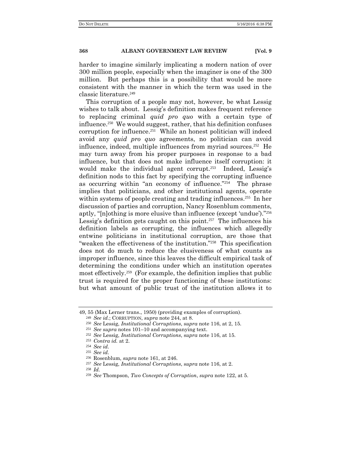harder to imagine similarly implicating a modern nation of over 300 million people, especially when the imaginer is one of the 300 million. But perhaps this is a possibility that would be more consistent with the manner in which the term was used in the classic literature.<sup>249</sup>

This corruption of a people may not, however, be what Lessig wishes to talk about. Lessig's definition makes frequent reference to replacing criminal *quid pro quo* with a certain type of influence.<sup>250</sup> We would suggest, rather, that his definition confuses corruption for influence.<sup>251</sup> While an honest politician will indeed avoid any *quid pro quo* agreements, no politician can avoid influence, indeed, multiple influences from myriad sources.252 He may turn away from his proper purposes in response to a bad influence, but that does not make influence itself corruption: it would make the individual agent corrupt.<sup>253</sup> Indeed, Lessig's definition nods to this fact by specifying the corrupting influence as occurring within "an economy of influence."254 The phrase implies that politicians, and other institutional agents, operate within systems of people creating and trading influences.<sup>255</sup> In her discussion of parties and corruption, Nancy Rosenblum comments, aptly, "[n]othing is more elusive than influence (except 'undue')."<sup>256</sup> Lessig's definition gets caught on this point.<sup>257</sup> The influences his definition labels as corrupting, the influences which allegedly entwine politicians in institutional corruption, are those that "weaken the effectiveness of the institution."258 This specification does not do much to reduce the elusiveness of what counts as improper influence, since this leaves the difficult empirical task of determining the conditions under which an institution operates most effectively.259 (For example, the definition implies that public trust is required for the proper functioning of these institutions: but what amount of public trust of the institution allows it to

<sup>49, 55 (</sup>Max Lerner trans., 1950) (providing examples of corruption). <sup>249</sup> *See id.*; CORRUPTION, *supra* note 244, at 8.

<sup>250</sup> *See* Lessig, *Institutional Corruptions*, s*upra* note 116, at 2, 15.

<sup>251</sup> *See* s*upra* notes 101–10 and accompanying text.

<sup>252</sup> *See* Lessig, *Institutional Corruptions*, s*upra* note 116, at 15.

<sup>253</sup> *Contra id.* at 2.

<sup>254</sup> *See id.*

<sup>255</sup> *See id.*

<sup>256</sup> Rosenblum, *supra* note 161, at 246.

<sup>257</sup> *See* Lessig, *Institutional Corruptions*, s*upra* note 116, at 2.

<sup>258</sup> *Id.*

<sup>259</sup> *See* Thompson, *Two Concepts of Corruption*, *supra* note 122, at 5.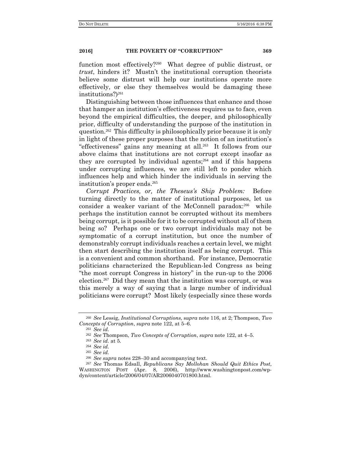function most effectively?260 What degree of public distrust, or *trust*, hinders it? Mustn't the institutional corruption theorists believe some distrust will help our institutions operate more effectively, or else they themselves would be damaging these institutions?)<sup>261</sup>

Distinguishing between those influences that enhance and those that hamper an institution's effectiveness requires us to face, even beyond the empirical difficulties, the deeper, and philosophically prior, difficulty of understanding the purpose of the institution in question.262 This difficulty is philosophically prior because it is only in light of these proper purposes that the notion of an institution's "effectiveness" gains any meaning at all.263 It follows from our above claims that institutions are not corrupt except insofar as they are corrupted by individual agents;<sup>264</sup> and if this happens under corrupting influences, we are still left to ponder which influences help and which hinder the individuals in serving the institution's proper ends.<sup>265</sup>

*Corrupt Practices, or, the Theseus's Ship Problem:* Before turning directly to the matter of institutional purposes, let us consider a weaker variant of the McConnell paradox:<sup>266</sup> while perhaps the institution cannot be corrupted without its members being corrupt, is it possible for it to be corrupted without all of them being so? Perhaps one or two corrupt individuals may not be symptomatic of a corrupt institution, but once the number of demonstrably corrupt individuals reaches a certain level, we might then start describing the institution itself as being corrupt. This is a convenient and common shorthand. For instance, Democratic politicians characterized the Republican-led Congress as being "the most corrupt Congress in history" in the run-up to the 2006 election.267 Did they mean that the institution was corrupt, or was this merely a way of saying that a large number of individual politicians were corrupt? Most likely (especially since these words

<sup>260</sup> *See* Lessig, *Institutional Corruptions*, s*upra* note 116, at 2; Thompson, *Two Concepts of Corruption*, *supra* note 122, at 5–6.

<sup>261</sup> *See id.*

<sup>262</sup> *See* Thompson, *Two Concepts of Corruption*, *supra* note 122, at 4–5.

<sup>263</sup> *See id.* at 5.

<sup>264</sup> *See id.*

<sup>265</sup> *See id.*

<sup>266</sup> *See supra* notes 228–30 and accompanying text.

<sup>267</sup> *See* Thomas Edsall, *Republicans Say Mollohan Should Quit Ethics Post*, WASHINGTON POST (Apr. 8, 2006), http://www.washingtonpost.com/wpdyn/content/article/2006/04/07/AR2006040701800.html.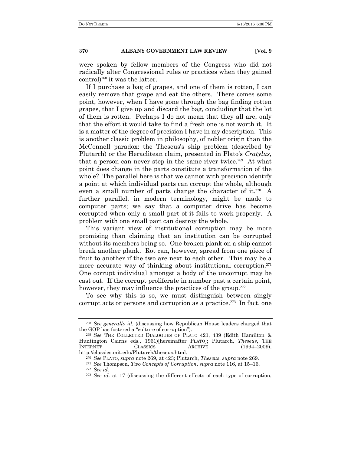were spoken by fellow members of the Congress who did not radically alter Congressional rules or practices when they gained control)268 it was the latter.

If I purchase a bag of grapes, and one of them is rotten, I can easily remove that grape and eat the others. There comes some point, however, when I have gone through the bag finding rotten grapes, that I give up and discard the bag, concluding that the lot of them is rotten. Perhaps I do not mean that they all are, only that the effort it would take to find a fresh one is not worth it. It is a matter of the degree of precision I have in my description. This is another classic problem in philosophy, of nobler origin than the McConnell paradox: the Theseus's ship problem (described by Plutarch) or the Heraclitean claim, presented in Plato's *Cratylus,*  that a person can never step in the same river twice.<sup>269</sup> At what point does change in the parts constitute a transformation of the whole? The parallel here is that we cannot with precision identify a point at which individual parts can corrupt the whole, although even a small number of parts change the character of it.<sup>270</sup> A further parallel, in modern terminology, might be made to computer parts; we say that a computer drive has become corrupted when only a small part of it fails to work properly. A problem with one small part can destroy the whole.

This variant view of institutional corruption may be more promising than claiming that an institution can be corrupted without its members being so. One broken plank on a ship cannot break another plank. Rot can, however, spread from one piece of fruit to another if the two are next to each other. This may be a more accurate way of thinking about institutional corruption.<sup>271</sup> One corrupt individual amongst a body of the uncorrupt may be cast out. If the corrupt proliferate in number past a certain point, however, they may influence the practices of the group.<sup>272</sup>

To see why this is so, we must distinguish between singly corrupt acts or persons and corruption as a practice.<sup>273</sup> In fact, one

<sup>268</sup> *See generally id.* (discussing how Republican House leaders charged that the GOP has fostered a "culture of corruption").

<sup>269</sup> *See* THE COLLECTED DIALOGUES OF PLATO 421, 439 (Edith Hamilton & Huntington Cairns eds., 1961)[hereinafter PLATO]; Plutarch, *Theseus*, THE INTERNET CLASSICS ARCHIVE (1994–2009), http://classics.mit.edu/Plutarch/theseus.html.

<sup>270</sup> *See* PLATO, *supra* note 269, at 423; Plutarch, *Theseus*, *supra* note 269.

<sup>271</sup> *See* Thompson, *Two Concepts of Corruption*, *supra* note 116, at 15–16. <sup>272</sup> *See id.*

<sup>273</sup> *See id.* at 17 (discussing the different effects of each type of corruption,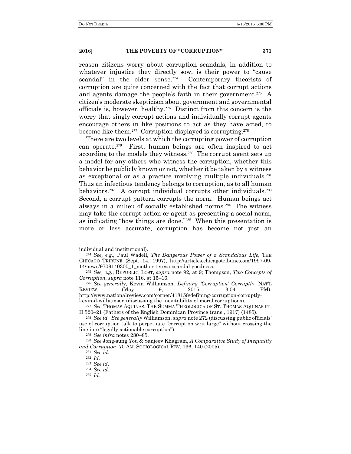reason citizens worry about corruption scandals, in addition to whatever injustice they directly sow, is their power to "cause scandal" in the older sense.<sup>274</sup> Contemporary theorists of corruption are quite concerned with the fact that corrupt actions and agents damage the people's faith in their government.<sup>275</sup> A citizen's moderate skepticism about government and governmental officials is, however, healthy.276 Distinct from this concern is the worry that singly corrupt actions and individually corrupt agents encourage others in like positions to act as they have acted, to become like them.<sup>277</sup> Corruption displayed is corrupting.<sup>278</sup>

There are two levels at which the corrupting power of corruption can operate.<sup>279</sup> First, human beings are often inspired to act according to the models they witness.280 The corrupt agent sets up a model for any others who witness the corruption, whether this behavior be publicly known or not, whether it be taken by a witness as exceptional or as a practice involving multiple individuals.<sup>281</sup> Thus an infectious tendency belongs to corruption, as to all human behaviors.<sup>282</sup> A corrupt individual corrupts other individuals.<sup>283</sup> Second, a corrupt pattern corrupts the norm. Human beings act always in a milieu of socially established norms.284 The witness may take the corrupt action or agent as presenting a social norm, as indicating "how things are done."285 When this presentation is more or less accurate, corruption has become not just an

<sup>276</sup> *See generally*, Kevin Williamson, *Defining 'Corruption' Corruptly,* NAT'L REVIEW (May 9, 2015, 3:04 PM), http://www.nationalreview.com/corner/418158/defining-corruption-corruptly-

kevin-d-williamson (discussing the inevitability of moral corruptions).

individual and institutional).

<sup>274</sup> *See, e.g.*, Paul Wadell, *The Dangerous Power of a Scandalous Life,* THE CHICAGO TRIBUNE (Sept. 14, 1997), http://articles.chicagotribune.com/1997-09- 14/news/9709140300\_1\_mother-teresa-scandal-goodness.

<sup>275</sup> *See, e.g.*, REPUBLIC, LOST, *supra* note 92, at 9; Thompson, *Two Concepts of Corruption*, *supra* note 116, at 15–16.

<sup>277</sup> *See* THOMAS AQUINAS, THE SUMMA THEOLOGICA OF ST. THOMAS AQUINAS PT. II 520–21 (Fathers of the English Dominican Province trans., 1917) (1485).

<sup>278</sup> *See id. See generally* Williamson, *supra* note 272 (discussing public officials' use of corruption talk to perpetuate "corruption writ large" without crossing the line into "legally actionable corruption").

<sup>279</sup> *See infra* notes 280–85.

<sup>280</sup> *See* Jong-sung You & Sanjeev Khagram, *A Comparative Study of Inequality and Corruption*, 70 AM. SOCIOLOGICAL REV. 136, 140 (2005).

<sup>281</sup> *See id.*

<sup>282</sup> *Id.*

<sup>283</sup> *See id.*

<sup>284</sup> *See id.* 

<sup>285</sup> *Id.*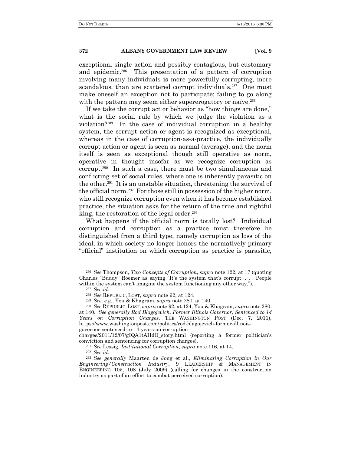exceptional single action and possibly contagious, but customary and epidemic.286 This presentation of a pattern of corruption involving many individuals is more powerfully corrupting, more scandalous, than are scattered corrupt individuals.<sup>287</sup> One must make oneself an exception not to participate; failing to go along with the pattern may seem either supererogatory or naïve.<sup>288</sup>

If we take the corrupt act or behavior as "how things are done," what is the social rule by which we judge the violation as a violation?289 In the case of individual corruption in a healthy system, the corrupt action or agent is recognized as exceptional, whereas in the case of corruption-as-a-practice, the individually corrupt action or agent is seen as normal (average), and the norm itself is seen as exceptional though still operative as norm, operative in thought insofar as we recognize corruption as corrupt.290 In such a case, there must be two simultaneous and conflicting set of social rules, where one is inherently parasitic on the other.291 It is an unstable situation, threatening the survival of the official norm.292 For those still in possession of the higher norm, who still recognize corruption even when it has become established practice, the situation asks for the return of the true and rightful king, the restoration of the legal order.<sup>293</sup>

What happens if the official norm is totally lost? Individual corruption and corruption as a practice must therefore be distinguished from a third type, namely corruption as loss of the ideal, in which society no longer honors the normatively primary "official" institution on which corruption as practice is parasitic,

<sup>286</sup> *See* Thompson, *Two Concepts of Corruption*, *supra* note 122, at 17 (quoting Charles "Buddy" Roemer as saying "It's the system that's corrupt. . . . People within the system can't imagine the system functioning any other way.").

<sup>287</sup> *See id.*

<sup>288</sup> *See* REPUBLIC, LOST, *supra* note 92, at 124.

<sup>289</sup> *See, e.g.*, You & Khagram, *supra* note 280, at 140.

<sup>290</sup> *See* REPUBLIC, LOST, *supra* note 92, at 124; You & Khagram, *supra* note 280, at 140. *See generally Rod Blagojevich, Former Illinois Governor, Sentenced to 14 Years on Corruption Charges*, THE WASHINGTON POST (Dec. 7, 2011), https://www.washingtonpost.com/politics/rod-blagojevich-former-illinoisgovernor-sentenced-to-14-years-on-corruption-

charges/2011/12/07/gIQA1tAHdO\_story.html (reporting a former politician's conviction and sentencing for corruption charges).

<sup>291</sup> *See* Lessig, *Institutional Corruption*, *supra* note 116, at 14.

<sup>292</sup> *See id.*

<sup>293</sup> *See generally* Maarten de Jong et al., *Eliminating Corruption in Our Engineering/Construction Industry*, 9 LEADERSHIP & MANAGEMENT IN ENGINEERING 105, 108 (July 2009) (calling for changes in the construction industry as part of an effort to combat perceived corruption).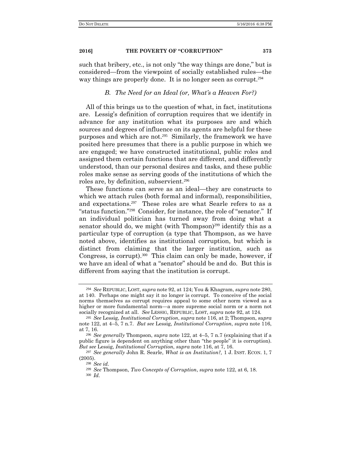such that bribery, etc., is not only "the way things are done," but is considered—from the viewpoint of socially established rules—the way things are properly done. It is no longer seen as corrupt.<sup>294</sup>

#### *B. The Need for an Ideal (or, What's a Heaven For?)*

All of this brings us to the question of what, in fact, institutions are. Lessig's definition of corruption requires that we identify in advance for any institution what its purposes are and which sources and degrees of influence on its agents are helpful for these purposes and which are not.295 Similarly, the framework we have posited here presumes that there is a public purpose in which we are engaged; we have constructed institutional, public roles and assigned them certain functions that are different, and differently understood, than our personal desires and tasks, and these public roles make sense as serving goods of the institutions of which the roles are, by definition, subservient.<sup>296</sup>

These functions can serve as an ideal—they are constructs to which we attach rules (both formal and informal), responsibilities, and expectations.297 These roles are what Searle refers to as a "status function."298 Consider, for instance, the role of "senator." If an individual politician has turned away from doing what a senator should do, we might (with Thompson)<sup>299</sup> identify this as a particular type of corruption (a type that Thompson, as we have noted above, identifies as institutional corruption, but which is distinct from claiming that the larger institution, such as Congress, is corrupt).<sup>300</sup> This claim can only be made, however, if we have an ideal of what a "senator" should be and do. But this is different from saying that the institution is corrupt.

<sup>294</sup> *See* REPUBLIC, LOST, *supra* note 92, at 124; You & Khagram, *supra* note 280, at 140. Perhaps one might say it no longer is corrupt. To conceive of the social norms themselves as corrupt requires appeal to some other norm viewed as a higher or more fundamental norm—a more supreme social norm or a norm not socially recognized at all. *See* LESSIG, REPUBLIC, LOST, *supra* note 92, at 124*.*

<sup>295</sup> *See* Lessig, *Institutional Corruption*, *supra* note 116, at 2; Thompson, *supra* note 122, at 4–5, 7 n.7. *But see* Lessig, *Institutional Corruption*, *supra* note 116, at 7, 16.

<sup>296</sup> *See generally* Thompson, *supra* note 122, at 4–5, 7 n.7 (explaining that if a public figure is dependent on anything other than "the people" it is corruption). *But see* Lessig, *Institutional Corruption*, *supra* note 116, at 7, 16.

<sup>297</sup> *See generally* John R. Searle, *What is an Institution?,* 1 J. INST. ECON. 1, 7 (2005).

<sup>298</sup> *See id.* 

<sup>299</sup> *See* Thompson, *Two Concepts of Corruption*, *supra* note 122, at 6, 18.

<sup>300</sup> *Id.*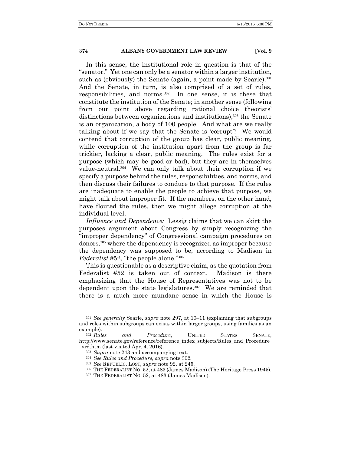In this sense, the institutional role in question is that of the "senator." Yet one can only be a senator within a larger institution, such as (obviously) the Senate (again, a point made by Searle).<sup>301</sup> And the Senate, in turn, is also comprised of a set of rules, responsibilities, and norms.302 In one sense, it is these that constitute the institution of the Senate; in another sense (following from our point above regarding rational choice theorists' distinctions between organizations and institutions),<sup>303</sup> the Senate is an organization, a body of 100 people. And what are we really talking about if we say that the Senate is 'corrupt'? We would contend that corruption of the group has clear, public meaning, while corruption of the institution apart from the group is far trickier, lacking a clear, public meaning. The rules exist for a purpose (which may be good or bad), but they are in themselves value-neutral.304 We can only talk about their corruption if we specify a purpose behind the rules, responsibilities, and norms, and then discuss their failures to conduce to that purpose. If the rules are inadequate to enable the people to achieve that purpose, we might talk about improper fit. If the members, on the other hand, have flouted the rules, then we might allege corruption at the individual level.

*Influence and Dependence:* Lessig claims that we can skirt the purposes argument about Congress by simply recognizing the "improper dependency" of Congressional campaign procedures on donors,305 where the dependency is recognized as improper because the dependency was supposed to be, according to Madison in *Federalist* #52, "the people alone."<sup>306</sup>

This is questionable as a descriptive claim, as the quotation from Federalist #52 is taken out of context. Madison is there emphasizing that the House of Representatives was not to be dependent upon the state legislatures.<sup>307</sup> We are reminded that there is a much more mundane sense in which the House is

<sup>301</sup> *See generally* Searle, *supra* note 297, at 10–11 (explaining that subgroups and roles within subgroups can exists within larger groups, using families as an example).<br> $\frac{302}{Rules}$ 

and Procedure, UNITED STATES SENATE, http://www.senate.gov/reference/reference\_index\_subjects/Rules\_and\_Procedure \_vrd.htm (last visited Apr. 4, 2016).

<sup>303</sup> *Supra* note 243 and accompanying text.

<sup>304</sup> *See Rules and Procedure, supra* note 302*.* 

<sup>305</sup> *See* REPUBLIC, LOST, *supra* note 92, at 245.

<sup>306</sup> THE FEDERALIST NO. 52, at 483 (James Madison) (The Heritage Press 1945).

<sup>307</sup> THE FEDERALIST NO. 52, at 483 (James Madison).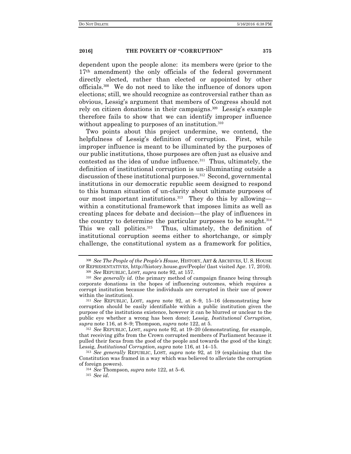dependent upon the people alone: its members were (prior to the 17<sup>th</sup> amendment) the only officials of the federal government directly elected, rather than elected or appointed by other officials.308 We do not need to like the influence of donors upon elections; still, we should recognize as controversial rather than as obvious, Lessig's argument that members of Congress should not rely on citizen donations in their campaigns.<sup>309</sup> Lessig's example therefore fails to show that we can identify improper influence without appealing to purposes of an institution.<sup>310</sup>

Two points about this project undermine, we contend, the helpfulness of Lessig's definition of corruption. First, while improper influence is meant to be illuminated by the purposes of our public institutions, those purposes are often just as elusive and contested as the idea of undue influence.311 Thus, ultimately, the definition of institutional corruption is un-illuminating outside a discussion of these institutional purposes.<sup>312</sup> Second, governmental institutions in our democratic republic seem designed to respond to this human situation of un-clarity about ultimate purposes of our most important institutions.<sup>313</sup> They do this by allowing within a constitutional framework that imposes limits as well as creating places for debate and decision—the play of influences in the country to determine the particular purposes to be sought.<sup>314</sup> This we call politics.<sup>315</sup> Thus, ultimately, the definition of institutional corruption seems either to shortchange, or simply challenge, the constitutional system as a framework for politics,

<sup>308</sup> *See The People of the People's House*, HISTORY, ART & ARCHIVES, U. S. HOUSE OF REPRESENTATIVES, http://history.house.gov/People/ (last visited Apr. 17, 2016).

<sup>309</sup> *See* REPUBLIC, LOST*, supra* note 92, at 157.

<sup>310</sup> *See generally id.* (the primary method of campaign finance being through corporate donations in the hopes of influencing outcomes, which requires a corrupt institution because the individuals are corrupted in their use of power within the institution).

<sup>311</sup> *See* REPUBLIC, LOST, *supra* note 92, at 8–9, 15–16 (demonstrating how corruption should be easily identifiable within a public institution given the purpose of the institutions existence, however it can be blurred or unclear to the public eye whether a wrong has been done); Lessig, *Institutional Corruption*, *supra* note 116, at 8–9; Thompson, *supra* note 122, at 5.

<sup>312</sup> *See* REPUBLIC, LOST, *supra* note 92, at 19–20 (demonstrating, for example, that receiving gifts from the Crown corrupted members of Parliament because it pulled their focus from the good of the people and towards the good of the king); Lessig, *Institutional Corruption*, *supra* note 116, at 14–15.

<sup>313</sup> *See generally* REPUBLIC, LOST, *supra* note 92, at 19 (explaining that the Constitution was framed in a way which was believed to alleviate the corruption of foreign powers).

<sup>314</sup> *See* Thompson, *supra* note 122, at 5–6.

<sup>315</sup> *See id.*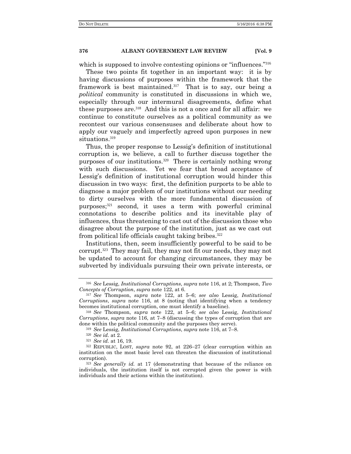which is supposed to involve contesting opinions or "influences."<sup>316</sup>

These two points fit together in an important way: it is by having discussions of purposes within the framework that the framework is best maintained.317 That is to say, our being a *political* community is constituted in discussions in which we, especially through our intermural disagreements, define what these purposes are.318 And this is not a once and for all affair: we continue to constitute ourselves as a political community as we recontest our various consensuses and deliberate about how to apply our vaguely and imperfectly agreed upon purposes in new situations.<sup>319</sup>

Thus, the proper response to Lessig's definition of institutional corruption is, we believe, a call to further discuss together the purposes of our institutions.320 There is certainly nothing wrong with such discussions. Yet we fear that broad acceptance of Lessig's definition of institutional corruption would hinder this discussion in two ways: first, the definition purports to be able to diagnose a major problem of our institutions without our needing to dirty ourselves with the more fundamental discussion of purposes;321 second, it uses a term with powerful criminal connotations to describe politics and its inevitable play of influences, thus threatening to cast out of the discussion those who disagree about the purpose of the institution, just as we cast out from political life officials caught taking bribes.<sup>322</sup>

Institutions, then, seem insufficiently powerful to be said to be corrupt.323 They may fail, they may not fit our needs, they may not be updated to account for changing circumstances, they may be subverted by individuals pursuing their own private interests, or

<sup>316</sup> *See* Lessig, *Institutional Corruptions*, *supra* note 116, at 2; Thompson, *Two Concepts of Corruption*, *supra* note 122, at 6.

<sup>317</sup> *See* Thompson, *supra* note 122, at 5–6; *see also* Lessig, *Institutional Corruptions*, *supra* note 116, at 8 (noting that identifying when a tendency becomes institutional corruption, one must identify a baseline).

<sup>318</sup> *See* Thompson, *supra* note 122, at 5–6; *see also* Lessig, *Institutional Corruptions*, *supra* note 116, at 7–8 (discussing the types of corruption that are done within the political community and the purposes they serve).

<sup>319</sup> *See* Lessig, *Institutional Corruptions*, *supra* note 116, at 7–8.

<sup>320</sup> *See id.* at 2.

<sup>321</sup> *See id.* at 16, 19.

<sup>322</sup> REPUBLIC, LOST, *supra* note 92, at 226–27 (clear corruption within an institution on the most basic level can threaten the discussion of institutional corruption).

<sup>323</sup> *See generally id.* at 17 (demonstrating that because of the reliance on individuals, the institution itself is not corrupted given the power is with individuals and their actions within the institution).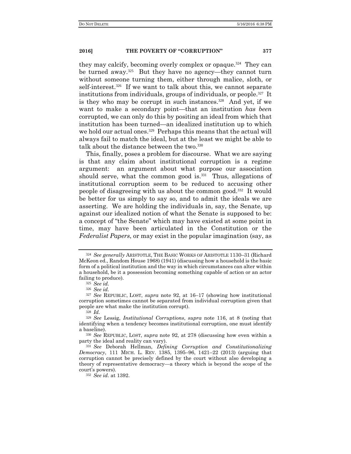they may calcify, becoming overly complex or opaque.324 They can be turned away.<sup>325</sup> But they have no agency—they cannot turn without someone turning them, either through malice, sloth, or self-interest.<sup>326</sup> If we want to talk about this, we cannot separate institutions from individuals, groups of individuals, or people.327 It is they who may be corrupt in such instances.<sup>328</sup> And yet, if we want to make a secondary point—that an institution *has been* corrupted, we can only do this by positing an ideal from which that institution has been turned—an idealized institution up to which we hold our actual ones.<sup>329</sup> Perhaps this means that the actual will always fail to match the ideal, but at the least we might be able to talk about the distance between the two.<sup>330</sup>

This, finally, poses a problem for discourse. What we are saying is that any claim about institutional corruption is a regime argument: an argument about what purpose our association should serve, what the common good is.<sup>331</sup> Thus, allegations of institutional corruption seem to be reduced to accusing other people of disagreeing with us about the common good.332 It would be better for us simply to say so, and to admit the ideals we are asserting. We are holding the individuals in, say, the Senate, up against our idealized notion of what the Senate is supposed to be: a concept of "the Senate" which may have existed at some point in time, may have been articulated in the Constitution or the *Federalist Papers*, or may exist in the popular imagination (say, as

<sup>324</sup> *See generally* ARISTOTLE, THE BASIC WORKS OF ARISTOTLE 1130–31 (Richard McKeon ed., Random House 1968) (1941) (discussing how a household is the basic form of a political institution and the way in which circumstances can alter within a household, be it a possession becoming something capable of action or an actor failing to produce).

<sup>325</sup> *See id.*

<sup>326</sup> *See id.* 

<sup>327</sup> *See* REPUBLIC, LOST, *supra* note 92, at 16–17 (showing how institutional corruption sometimes cannot be separated from individual corruption given that people are what make the institution corrupt).

<sup>328</sup> *Id.*

<sup>329</sup> *See* Lessig, *Institutional Corruptions*, *supra* note 116, at 8 (noting that identifying when a tendency becomes institutional corruption, one must identify a baseline).

<sup>330</sup> *See* REPUBLIC, LOST, *supra* note 92, at 278 (discussing how even within a party the ideal and reality can vary).

<sup>331</sup> *See* Deborah Hellman, *Defining Corruption and Constitutionalizing Democracy*, 111 MICH. L. REV. 1385, 1395–96, 1421–22 (2013) (arguing that corruption cannot be precisely defined by the court without also developing a theory of representative democracy—a theory which is beyond the scope of the court's powers).

<sup>332</sup> *See id.* at 1392.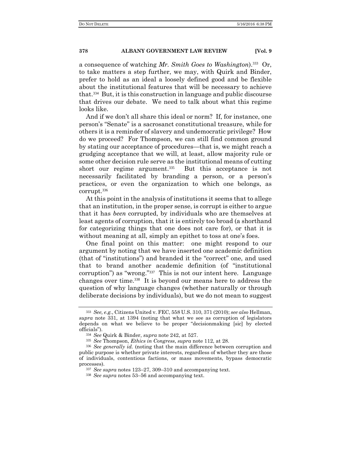a consequence of watching *Mr. Smith Goes to Washington*).333 Or, to take matters a step further, we may, with Quirk and Binder, prefer to hold as an ideal a loosely defined good and be flexible about the institutional features that will be necessary to achieve that.334 But, it is this construction in language and public discourse that drives our debate. We need to talk about what this regime looks like.

And if we don't all share this ideal or norm? If, for instance, one person's "Senate" is a sacrosanct constitutional treasure, while for others it is a reminder of slavery and undemocratic privilege? How do we proceed? For Thompson, we can still find common ground by stating our acceptance of procedures—that is, we might reach a grudging acceptance that we will, at least, allow majority rule or some other decision rule serve as the institutional means of cutting short our regime argument.<sup>335</sup> But this acceptance is not necessarily facilitated by branding a person, or a person's practices, or even the organization to which one belongs, as corrupt.<sup>336</sup>

At this point in the analysis of institutions it seems that to allege that an institution, in the proper sense, is corrupt is either to argue that it has *been* corrupted, by individuals who are themselves at least agents of corruption, that it is entirely too broad (a shorthand for categorizing things that one does not care for), or that it is without meaning at all, simply an epithet to toss at one's foes.

One final point on this matter: one might respond to our argument by noting that we have inserted one academic definition (that of "institutions") and branded it the "correct" one, and used that to brand another academic definition (of "institutional corruption") as "wrong."337 This is not our intent here. Language changes over time.338 It is beyond our means here to address the question of why language changes (whether naturally or through deliberate decisions by individuals), but we do not mean to suggest

<sup>333</sup> *See, e.g.*, Citizens United v. FEC, 558 U.S. 310, 371 (2010); *see also* Hellman, *supra* note 331, at 1394 (noting that what we see as corruption of legislators depends on what we believe to be proper "decisionmaking [sic] by elected officials").

<sup>334</sup> *See* Quirk & Binder, *supra* note 242, at 527.

<sup>335</sup> *See* Thompson, *Ethics in Congress*, *supra* note 112, at 28.

<sup>336</sup> *See generally id.* (noting that the main difference between corruption and public purpose is whether private interests, regardless of whether they are those of individuals, contentious factions, or mass movements, bypass democratic processes).

<sup>337</sup> *See supra* notes 123–27, 309–310 and accompanying text.

<sup>338</sup> *See supra* notes 53–56 and accompanying text.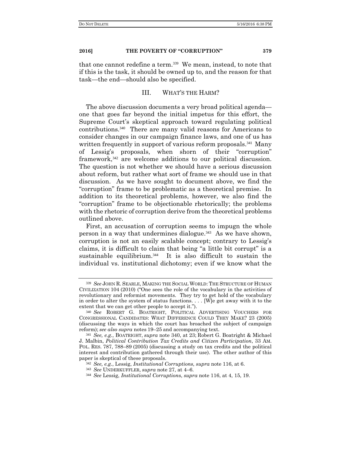that one cannot redefine a term.<sup>339</sup> We mean, instead, to note that if this is the task, it should be owned up to, and the reason for that task—the end—should also be specified.

#### III. WHAT'S THE HARM?

The above discussion documents a very broad political agenda one that goes far beyond the initial impetus for this effort, the Supreme Court's skeptical approach toward regulating political contributions.340 There are many valid reasons for Americans to consider changes in our campaign finance laws, and one of us has written frequently in support of various reform proposals.<sup>341</sup> Many of Lessig's proposals, when shorn of their "corruption" framework,342 are welcome additions to our political discussion. The question is not whether we should have a serious discussion about reform, but rather what sort of frame we should use in that discussion. As we have sought to document above, we find the "corruption" frame to be problematic as a theoretical premise. In addition to its theoretical problems, however, we also find the "corruption" frame to be objectionable rhetorically; the problems with the rhetoric of corruption derive from the theoretical problems outlined above.

First, an accusation of corruption seems to impugn the whole person in a way that undermines dialogue. $343$  As we have shown, corruption is not an easily scalable concept; contrary to Lessig's claims, it is difficult to claim that being "a little bit corrupt" is a sustainable equilibrium.<sup>344</sup> It is also difficult to sustain the individual vs. institutional dichotomy; even if we know what the

<sup>339</sup> *See* JOHN R. SEARLE, MAKING THE SOCIAL WORLD: THE STRUCTURE OF HUMAN CIVILIZATION 104 (2010) ("One sees the role of the vocabulary in the activities of revolutionary and reformist movements. They try to get hold of the vocabulary in order to alter the system of status functions. . . . [W]e get away with it to the extent that we can get other people to accept it.").

<sup>340</sup> *See* ROBERT G. BOATRIGHT, POLITICAL ADVERTISING VOUCHERS FOR CONGRESSIONAL CANDIDATES: WHAT DIFFERENCE COULD THEY MAKE? 23 (2005) (discussing the ways in which the court has broached the subject of campaign reform); *see also supra* notes 19–25 and accompanying text.

<sup>341</sup> *See, e.g.*, BOATRIGHT, *supra* note 340, at 23; Robert G. Boatright & Michael J. Malbin, *Political Contribution Tax Credits and Citizen Participation*, 33 AM. POL. RES. 787, 788–89 (2005) (discussing a study on tax credits and the political interest and contribution gathered through their use). The other author of this paper is skeptical of these proposals.

<sup>342</sup> *See, e.g.*, Lessig, *Institutional Corruptions, supra* note 116, at 6.

<sup>343</sup> *See* UNDERKUFFLER, *supra* note 27, at 4–6.

<sup>344</sup> *See* Lessig, *Institutional Corruption*s, *supra* note 116, at 4, 15, 19.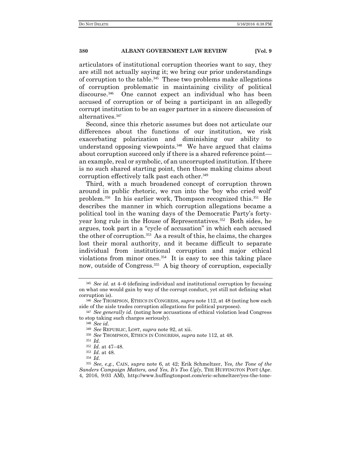articulators of institutional corruption theories want to say, they are still not actually saying it; we bring our prior understandings of corruption to the table.<sup>345</sup> These two problems make allegations of corruption problematic in maintaining civility of political discourse.346 One cannot expect an individual who has been accused of corruption or of being a participant in an allegedly corrupt institution to be an eager partner in a sincere discussion of alternatives.<sup>347</sup>

Second, since this rhetoric assumes but does not articulate our differences about the functions of our institution, we risk exacerbating polarization and diminishing our ability to understand opposing viewpoints.<sup>348</sup> We have argued that claims about corruption succeed only if there is a shared reference point an example, real or symbolic, of an uncorrupted institution. If there is no such shared starting point, then those making claims about corruption effectively talk past each other.<sup>349</sup>

Third, with a much broadened concept of corruption thrown around in public rhetoric, we run into the 'boy who cried wolf' problem.350 In his earlier work, Thompson recognized this.351 He describes the manner in which corruption allegations became a political tool in the waning days of the Democratic Party's fortyyear long rule in the House of Representatives.<sup>352</sup> Both sides, he argues, took part in a "cycle of accusation" in which each accused the other of corruption.353 As a result of this, he claims, the charges lost their moral authority, and it became difficult to separate individual from institutional corruption and major ethical violations from minor ones.354 It is easy to see this taking place now, outside of Congress.<sup>355</sup> A big theory of corruption, especially

<sup>345</sup> *See id.* at 4–6 (defining individual and institutional corruption by focusing on what one would gain by way of the corrupt conduct, yet still not defining what corruption is).

<sup>346</sup> *See* THOMPSON, ETHICS IN CONGRESS, *supra* note 112, at 48 (noting how each side of the aisle trades corruption allegations for political purposes).

<sup>347</sup> *See generally id.* (noting how accusations of ethical violation lead Congress to stop taking such charges seriously).

<sup>348</sup> *See id.*

<sup>349</sup> *See* REPUBLIC, LOST, *supra* note 92, at xii.

<sup>350</sup> *See* THOMPSON, ETHICS IN CONGRESS, *supra* note 112, at 48.

<sup>351</sup> *Id.*

<sup>352</sup> *Id.* at 47–48.

<sup>353</sup> *Id.* at 48.

<sup>354</sup> *Id.*

<sup>355</sup> *See, e.g.*, CAIN, *supra* note 6, at 42; Erik Schmeltzer, *Yes, the Tone of the Sanders Campaign Matters, and Yes, It's Too Ugly*, THE HUFFINGTON POST (Apr. 4, 2016, 9:03 AM), http://www.huffingtonpost.com/eric-schmeltzer/yes-the-tone-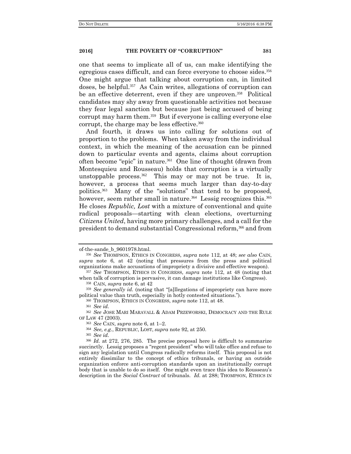one that seems to implicate all of us, can make identifying the egregious cases difficult, and can force everyone to choose sides.<sup>356</sup> One might argue that talking about corruption can, in limited doses, be helpful.<sup>357</sup> As Cain writes, allegations of corruption can be an effective deterrent, even if they are unproven.<sup>358</sup> Political candidates may shy away from questionable activities not because they fear legal sanction but because just being accused of being corrupt may harm them.<sup>359</sup> But if everyone is calling everyone else corrupt, the charge may be less effective.<sup>360</sup>

And fourth, it draws us into calling for solutions out of proportion to the problems. When taken away from the individual context, in which the meaning of the accusation can be pinned down to particular events and agents, claims about corruption often become "epic" in nature.361 One line of thought (drawn from Montesquieu and Rousseau) holds that corruption is a virtually unstoppable process.<sup>362</sup> This may or may not be true. It is, however, a process that seems much larger than day-to-day politics.363 Many of the "solutions" that tend to be proposed, however, seem rather small in nature.<sup>364</sup> Lessig recognizes this.<sup>365</sup> He closes *Republic, Lost* with a mixture of conventional and quite radical proposals—starting with clean elections, overturning *Citizens United*, having more primary challenges, and a call for the president to demand substantial Congressional reform,366 and from

<sup>365</sup> *See id.*

of-the-sande\_b\_9601978.html.

<sup>356</sup> *See* THOMPSON, ETHICS IN CONGRESS, *supra* note 112, at 48; *see also* CAIN, *supra* note 6, at 42 (noting that pressures from the press and political organizations make accusations of impropriety a divisive and effective weapon).

<sup>357</sup> *See* THOMPSON, ETHICS IN CONGRESS, *supra* note 112, at 48 (noting that when talk of corruption is pervasive, it can damage institutions like Congress).

<sup>358</sup> CAIN, *supra* note 6, at 42

<sup>359</sup> *See generally id.* (noting that "[a]llegations of impropriety can have more political value than truth, especially in hotly contested situations.").

<sup>360</sup> THOMPSON, ETHICS IN CONGRESS, *supra* note 112, at 48.

<sup>361</sup> *See id.*

<sup>362</sup> *See* JOSE MARI MARAVALL & ADAM PRZEWORSKI, DEMOCRACY AND THE RULE OF LAW 47 (2003).

<sup>363</sup> *See* CAIN, *supra* note 6, at 1–2.

<sup>364</sup> *See, e.g.*, REPUBLIC, LOST, *supra* note 92, at 250.

<sup>366</sup> *Id.* at 272, 276, 285. The precise proposal here is difficult to summarize succinctly. Lessig proposes a "regent president" who will take office and refuse to sign any legislation until Congress radically reforms itself. This proposal is not entirely dissimilar to the concept of ethics tribunals, or having an outside organization enforce anti-corruption standards upon an institutionally corrupt body that is unable to do so itself. One might even trace this idea to Rousseau's description in the *Social Contract* of tribunals. *Id.* at 288; THOMPSON, ETHICS IN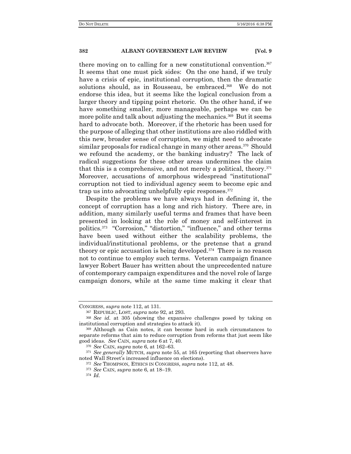there moving on to calling for a new constitutional convention.<sup>367</sup> It seems that one must pick sides: On the one hand, if we truly have a crisis of epic, institutional corruption, then the dramatic solutions should, as in Rousseau, be embraced.<sup>368</sup> We do not endorse this idea, but it seems like the logical conclusion from a larger theory and tipping point rhetoric. On the other hand, if we have something smaller, more manageable, perhaps we can be more polite and talk about adjusting the mechanics.<sup>369</sup> But it seems hard to advocate both. Moreover, if the rhetoric has been used for the purpose of alleging that other institutions are also riddled with this new, broader sense of corruption, we might need to advocate similar proposals for radical change in many other areas.<sup>370</sup> Should we refound the academy, or the banking industry? The lack of radical suggestions for these other areas undermines the claim that this is a comprehensive, and not merely a political, theory. $371$ Moreover, accusations of amorphous widespread "institutional" corruption not tied to individual agency seem to become epic and trap us into advocating unhelpfully epic responses.<sup>372</sup>

Despite the problems we have always had in defining it, the concept of corruption has a long and rich history. There are, in addition, many similarly useful terms and frames that have been presented in looking at the role of money and self-interest in politics.<sup>373</sup> "Corrosion," "distortion," "influence," and other terms have been used without either the scalability problems, the individual/institutional problems, or the pretense that a grand theory or epic accusation is being developed.374 There is no reason not to continue to employ such terms. Veteran campaign finance lawyer Robert Bauer has written about the unprecedented nature of contemporary campaign expenditures and the novel role of large campaign donors, while at the same time making it clear that

CONGRESS, *supra* note 112, at 131.

<sup>367</sup> REPUBLIC, LOST, *supra* note 92, at 293.

<sup>368</sup> *See id.* at 305 (showing the expansive challenges posed by taking on institutional corruption and strategies to attack it).

<sup>369</sup> Although as Cain notes, it can become hard in such circumstances to separate reforms that aim to reduce corruption from reforms that just seem like good ideas. *See* CAIN, *supra* note 6 at 7, 40.

<sup>370</sup> *See* CAIN, *supra* note 6, at 162–63.

<sup>371</sup> *See generally* MUTCH, *supra* note 55, at 165 (reporting that observers have noted Wall Street's increased influence on elections).

<sup>372</sup> *See* THOMPSON, ETHICS IN CONGRESS, *supra* note 112, at 48.

<sup>373</sup> *See* CAIN, *supra* note 6, at 18–19.

<sup>374</sup> *Id.*